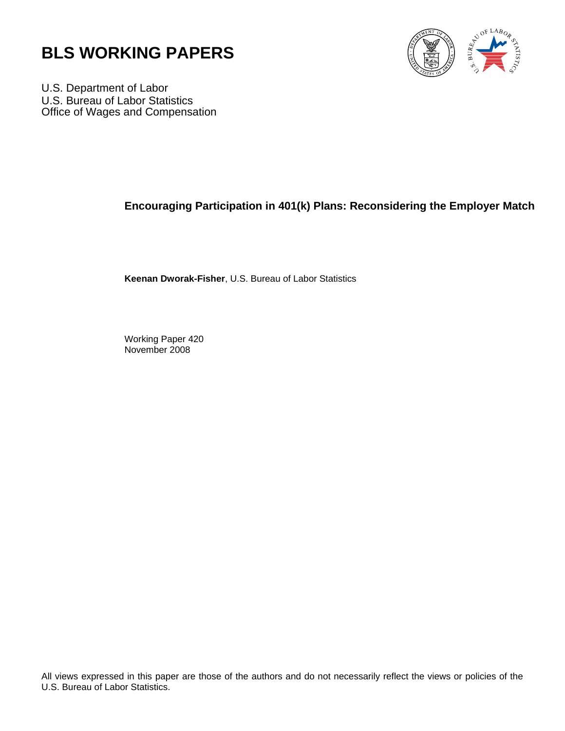



U.S. Department of Labor U.S. Bureau of Labor Statistics Office of Wages and Compensation

# **Encouraging Participation in 401(k) Plans: Reconsidering the Employer Match**

**Keenan Dworak-Fisher**, U.S. Bureau of Labor Statistics

Working Paper 420 November 2008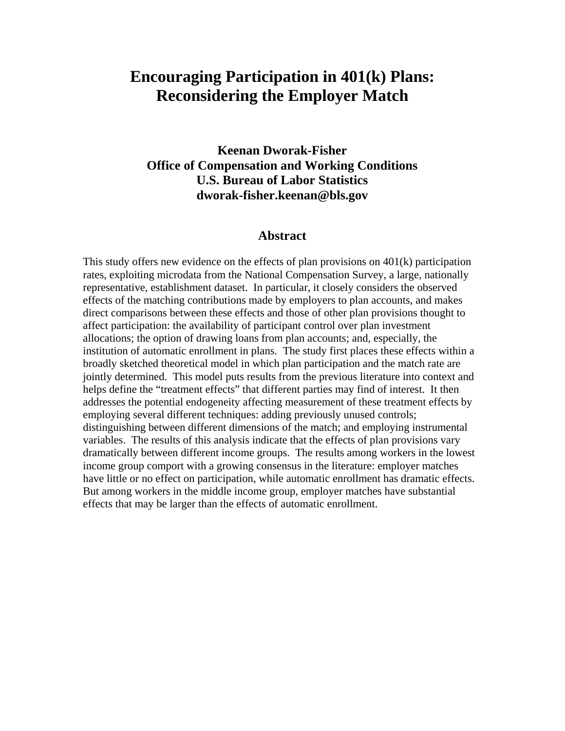# **Encouraging Participation in 401(k) Plans: Reconsidering the Employer Match**

# **Keenan Dworak-Fisher Office of Compensation and Working Conditions U.S. Bureau of Labor Statistics dworak-fisher.keenan@bls.gov**

# **Abstract**

This study offers new evidence on the effects of plan provisions on  $401(k)$  participation rates, exploiting microdata from the National Compensation Survey, a large, nationally representative, establishment dataset. In particular, it closely considers the observed effects of the matching contributions made by employers to plan accounts, and makes direct comparisons between these effects and those of other plan provisions thought to affect participation: the availability of participant control over plan investment allocations; the option of drawing loans from plan accounts; and, especially, the institution of automatic enrollment in plans. The study first places these effects within a broadly sketched theoretical model in which plan participation and the match rate are jointly determined. This model puts results from the previous literature into context and helps define the "treatment effects" that different parties may find of interest. It then addresses the potential endogeneity affecting measurement of these treatment effects by employing several different techniques: adding previously unused controls; distinguishing between different dimensions of the match; and employing instrumental variables. The results of this analysis indicate that the effects of plan provisions vary dramatically between different income groups. The results among workers in the lowest income group comport with a growing consensus in the literature: employer matches have little or no effect on participation, while automatic enrollment has dramatic effects. But among workers in the middle income group, employer matches have substantial effects that may be larger than the effects of automatic enrollment.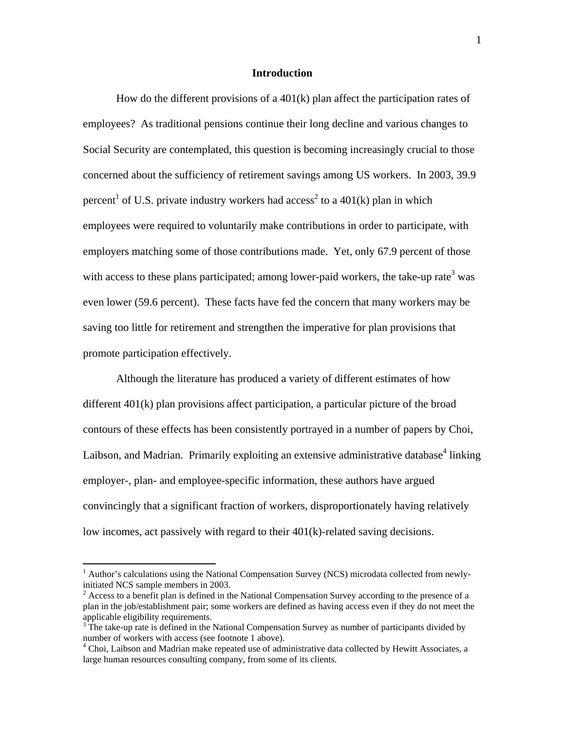### **Introduction**

How do the different provisions of a  $401(k)$  plan affect the participation rates of employees? As traditional pensions continue their long decline and various changes to Social Security are contemplated, this question is becoming increasingly crucial to those concerned about the sufficiency of retirement savings among US workers. In 2003, 39.9 percent<sup>1</sup> of U.S. private industry workers had access<sup>2</sup> to a 401(k) plan in which employees were required to voluntarily make contributions in order to participate, with employers matching some of those contributions made. Yet, only 67.9 percent of those with access to these plans participated; among lower-paid workers, the take-up rate<sup>3</sup> was even lower (59.6 percent). These facts have fed the concern that many workers may be saving too little for retirement and strengthen the imperative for plan provisions that promote participation effectively.

Although the literature has produced a variety of different estimates of how different 401(k) plan provisions affect participation, a particular picture of the broad contours of these effects has been consistently portrayed in a number of papers by Choi, Laibson, and Madrian. Primarily exploiting an extensive administrative database<sup>4</sup> linking employer-, plan- and employee-specific information, these authors have argued convincingly that a significant fraction of workers, disproportionately having relatively low incomes, act passively with regard to their 401(k)-related saving decisions.

<sup>&</sup>lt;sup>1</sup> Author's calculations using the National Compensation Survey (NCS) microdata collected from newlyinitiated NCS sample members in 2003.

 $2^2$  Access to a benefit plan is defined in the National Compensation Survey according to the presence of a plan in the job/establishment pair; some workers are defined as having access even if they do not meet the applicable eligibility requirements.

<sup>&</sup>lt;sup>3</sup>The take-up rate is defined in the National Compensation Survey as number of participants divided by number of workers with access (see footnote 1 above).

<sup>&</sup>lt;sup>4</sup> Choi, Laibson and Madrian make repeated use of administrative data collected by Hewitt Associates, a large human resources consulting company, from some of its clients.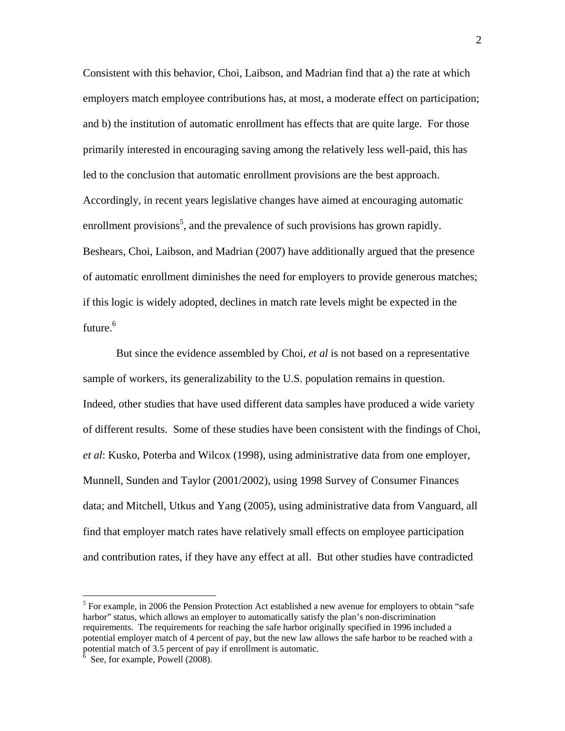Consistent with this behavior, Choi, Laibson, and Madrian find that a) the rate at which employers match employee contributions has, at most, a moderate effect on participation; and b) the institution of automatic enrollment has effects that are quite large. For those primarily interested in encouraging saving among the relatively less well-paid, this has led to the conclusion that automatic enrollment provisions are the best approach. Accordingly, in recent years legislative changes have aimed at encouraging automatic enrollment provisions<sup>5</sup>, and the prevalence of such provisions has grown rapidly. Beshears, Choi, Laibson, and Madrian (2007) have additionally argued that the presence of automatic enrollment diminishes the need for employers to provide generous matches; if this logic is widely adopted, declines in match rate levels might be expected in the future.<sup>6</sup>

But since the evidence assembled by Choi, *et al* is not based on a representative sample of workers, its generalizability to the U.S. population remains in question. Indeed, other studies that have used different data samples have produced a wide variety of different results. Some of these studies have been consistent with the findings of Choi, *et al*: Kusko, Poterba and Wilcox (1998), using administrative data from one employer, Munnell, Sunden and Taylor (2001/2002), using 1998 Survey of Consumer Finances data; and Mitchell, Utkus and Yang (2005), using administrative data from Vanguard, all find that employer match rates have relatively small effects on employee participation and contribution rates, if they have any effect at all. But other studies have contradicted

1

<sup>&</sup>lt;sup>5</sup> For example, in 2006 the Pension Protection Act established a new avenue for employers to obtain "safe" harbor" status, which allows an employer to automatically satisfy the plan's non-discrimination requirements. The requirements for reaching the safe harbor originally specified in 1996 included a potential employer match of 4 percent of pay, but the new law allows the safe harbor to be reached with a potential match of 3.5 percent of pay if enrollment is automatic.<br>  ${}^{6}$  See for example Pougel (2008)

See, for example, Powell (2008).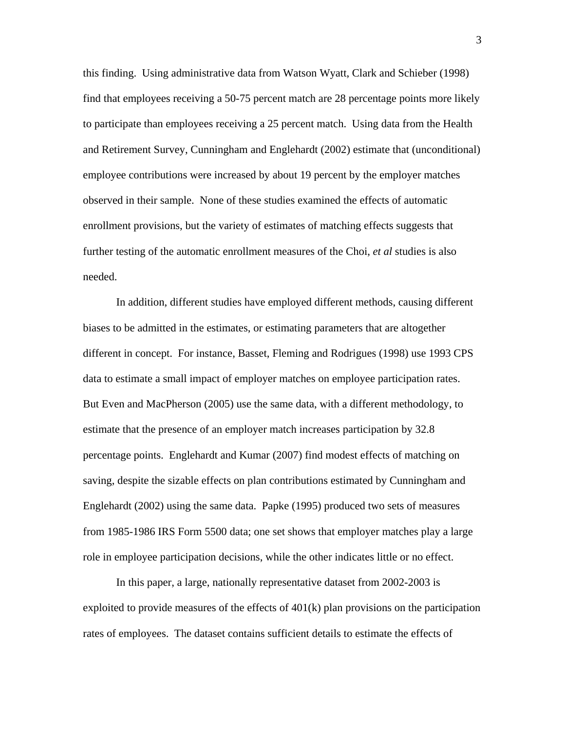this finding. Using administrative data from Watson Wyatt, Clark and Schieber (1998) find that employees receiving a 50-75 percent match are 28 percentage points more likely to participate than employees receiving a 25 percent match. Using data from the Health and Retirement Survey, Cunningham and Englehardt (2002) estimate that (unconditional) employee contributions were increased by about 19 percent by the employer matches observed in their sample. None of these studies examined the effects of automatic enrollment provisions, but the variety of estimates of matching effects suggests that further testing of the automatic enrollment measures of the Choi, *et al* studies is also needed.

In addition, different studies have employed different methods, causing different biases to be admitted in the estimates, or estimating parameters that are altogether different in concept. For instance, Basset, Fleming and Rodrigues (1998) use 1993 CPS data to estimate a small impact of employer matches on employee participation rates. But Even and MacPherson (2005) use the same data, with a different methodology, to estimate that the presence of an employer match increases participation by 32.8 percentage points. Englehardt and Kumar (2007) find modest effects of matching on saving, despite the sizable effects on plan contributions estimated by Cunningham and Englehardt (2002) using the same data. Papke (1995) produced two sets of measures from 1985-1986 IRS Form 5500 data; one set shows that employer matches play a large role in employee participation decisions, while the other indicates little or no effect.

In this paper, a large, nationally representative dataset from 2002-2003 is exploited to provide measures of the effects of  $401(k)$  plan provisions on the participation rates of employees. The dataset contains sufficient details to estimate the effects of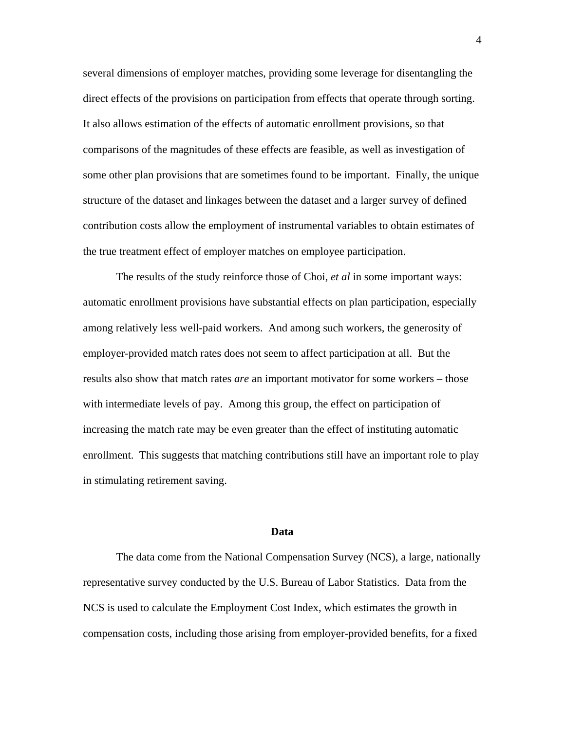several dimensions of employer matches, providing some leverage for disentangling the direct effects of the provisions on participation from effects that operate through sorting. It also allows estimation of the effects of automatic enrollment provisions, so that comparisons of the magnitudes of these effects are feasible, as well as investigation of some other plan provisions that are sometimes found to be important. Finally, the unique structure of the dataset and linkages between the dataset and a larger survey of defined contribution costs allow the employment of instrumental variables to obtain estimates of the true treatment effect of employer matches on employee participation.

The results of the study reinforce those of Choi, *et al* in some important ways: automatic enrollment provisions have substantial effects on plan participation, especially among relatively less well-paid workers. And among such workers, the generosity of employer-provided match rates does not seem to affect participation at all. But the results also show that match rates *are* an important motivator for some workers – those with intermediate levels of pay. Among this group, the effect on participation of increasing the match rate may be even greater than the effect of instituting automatic enrollment. This suggests that matching contributions still have an important role to play in stimulating retirement saving.

#### **Data**

The data come from the National Compensation Survey (NCS), a large, nationally representative survey conducted by the U.S. Bureau of Labor Statistics. Data from the NCS is used to calculate the Employment Cost Index, which estimates the growth in compensation costs, including those arising from employer-provided benefits, for a fixed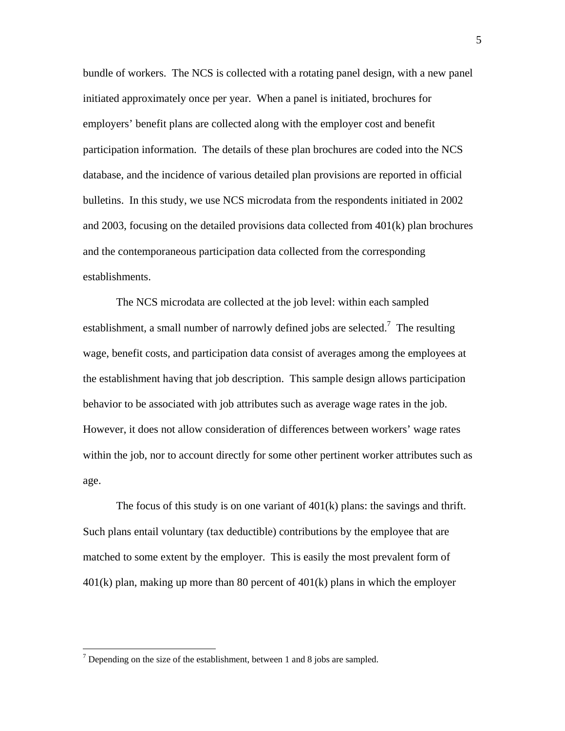bundle of workers. The NCS is collected with a rotating panel design, with a new panel initiated approximately once per year. When a panel is initiated, brochures for employers' benefit plans are collected along with the employer cost and benefit participation information. The details of these plan brochures are coded into the NCS database, and the incidence of various detailed plan provisions are reported in official bulletins. In this study, we use NCS microdata from the respondents initiated in 2002 and 2003, focusing on the detailed provisions data collected from 401(k) plan brochures and the contemporaneous participation data collected from the corresponding establishments.

The NCS microdata are collected at the job level: within each sampled establishment, a small number of narrowly defined jobs are selected.<sup>7</sup> The resulting wage, benefit costs, and participation data consist of averages among the employees at the establishment having that job description. This sample design allows participation behavior to be associated with job attributes such as average wage rates in the job. However, it does not allow consideration of differences between workers' wage rates within the job, nor to account directly for some other pertinent worker attributes such as age.

The focus of this study is on one variant of  $401(k)$  plans: the savings and thrift. Such plans entail voluntary (tax deductible) contributions by the employee that are matched to some extent by the employer. This is easily the most prevalent form of 401(k) plan, making up more than 80 percent of 401(k) plans in which the employer

<sup>&</sup>lt;sup>7</sup> Depending on the size of the establishment, between 1 and 8 jobs are sampled.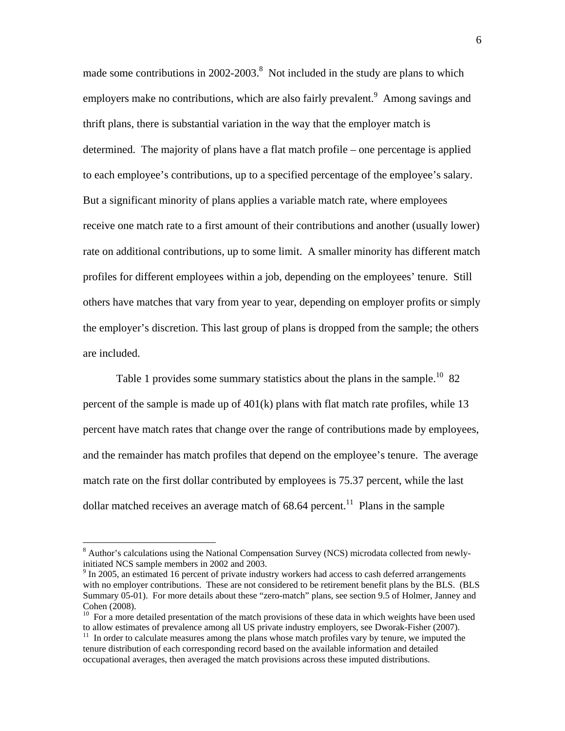made some contributions in  $2002-2003$ .<sup>8</sup> Not included in the study are plans to which employers make no contributions, which are also fairly prevalent.<sup>9</sup> Among savings and thrift plans, there is substantial variation in the way that the employer match is determined. The majority of plans have a flat match profile – one percentage is applied to each employee's contributions, up to a specified percentage of the employee's salary. But a significant minority of plans applies a variable match rate, where employees receive one match rate to a first amount of their contributions and another (usually lower) rate on additional contributions, up to some limit. A smaller minority has different match profiles for different employees within a job, depending on the employees' tenure. Still others have matches that vary from year to year, depending on employer profits or simply the employer's discretion. This last group of plans is dropped from the sample; the others are included.

Table 1 provides some summary statistics about the plans in the sample.<sup>10</sup> 82 percent of the sample is made up of 401(k) plans with flat match rate profiles, while 13 percent have match rates that change over the range of contributions made by employees, and the remainder has match profiles that depend on the employee's tenure. The average match rate on the first dollar contributed by employees is 75.37 percent, while the last dollar matched receives an average match of  $68.64$  percent.<sup>11</sup> Plans in the sample

<sup>&</sup>lt;sup>8</sup> Author's calculations using the National Compensation Survey (NCS) microdata collected from newlyinitiated NCS sample members in 2002 and 2003.

 $9 \text{ In } 2005$ , an estimated 16 percent of private industry workers had access to cash deferred arrangements with no employer contributions. These are not considered to be retirement benefit plans by the BLS. (BLS Summary 05-01). For more details about these "zero-match" plans, see section 9.5 of Holmer, Janney and Cohen (2008).

 $10$  For a more detailed presentation of the match provisions of these data in which weights have been used to allow estimates of prevalence among all US private industry employers, see Dworak-Fisher (2007).

 $11$  In order to calculate measures among the plans whose match profiles vary by tenure, we imputed the tenure distribution of each corresponding record based on the available information and detailed occupational averages, then averaged the match provisions across these imputed distributions.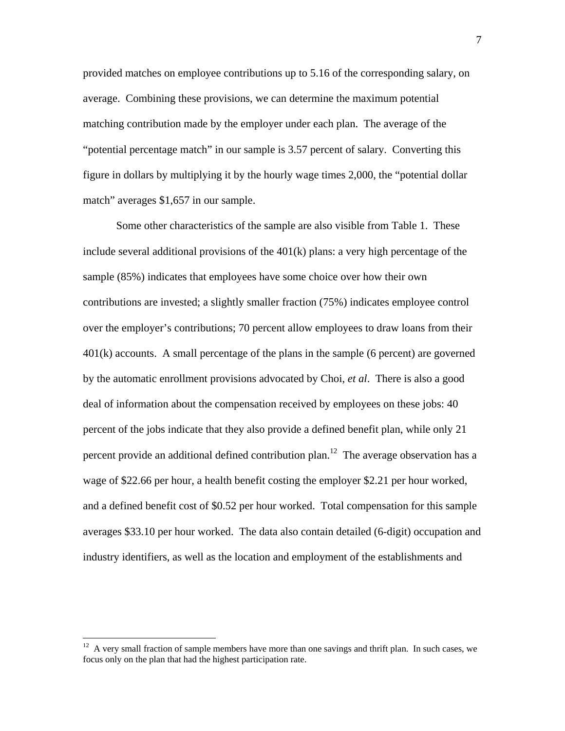provided matches on employee contributions up to 5.16 of the corresponding salary, on average. Combining these provisions, we can determine the maximum potential matching contribution made by the employer under each plan. The average of the "potential percentage match" in our sample is 3.57 percent of salary. Converting this figure in dollars by multiplying it by the hourly wage times 2,000, the "potential dollar match" averages \$1,657 in our sample.

Some other characteristics of the sample are also visible from Table 1. These include several additional provisions of the  $401(k)$  plans: a very high percentage of the sample (85%) indicates that employees have some choice over how their own contributions are invested; a slightly smaller fraction (75%) indicates employee control over the employer's contributions; 70 percent allow employees to draw loans from their 401(k) accounts. A small percentage of the plans in the sample (6 percent) are governed by the automatic enrollment provisions advocated by Choi, *et al*. There is also a good deal of information about the compensation received by employees on these jobs: 40 percent of the jobs indicate that they also provide a defined benefit plan, while only 21 percent provide an additional defined contribution plan.<sup>12</sup> The average observation has a wage of \$22.66 per hour, a health benefit costing the employer \$2.21 per hour worked, and a defined benefit cost of \$0.52 per hour worked. Total compensation for this sample averages \$33.10 per hour worked. The data also contain detailed (6-digit) occupation and industry identifiers, as well as the location and employment of the establishments and

 $12$  A very small fraction of sample members have more than one savings and thrift plan. In such cases, we focus only on the plan that had the highest participation rate.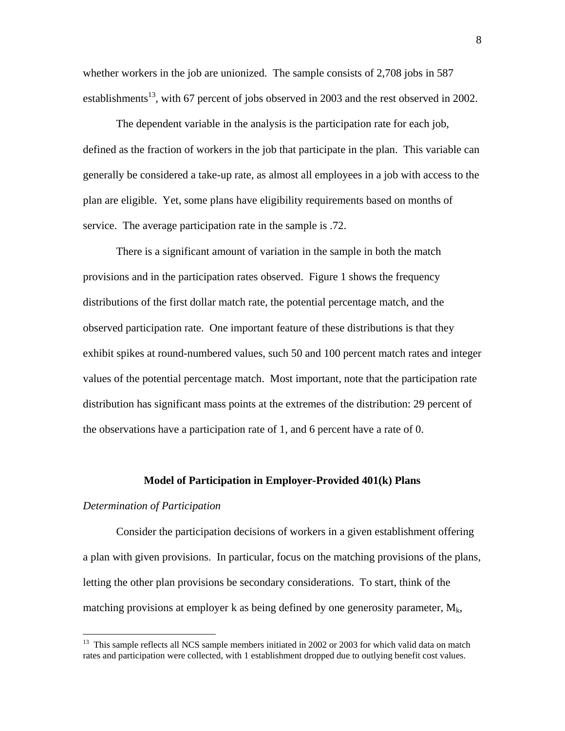whether workers in the job are unionized. The sample consists of 2,708 jobs in 587 establishments<sup>13</sup>, with 67 percent of jobs observed in 2003 and the rest observed in 2002.

The dependent variable in the analysis is the participation rate for each job, defined as the fraction of workers in the job that participate in the plan. This variable can generally be considered a take-up rate, as almost all employees in a job with access to the plan are eligible. Yet, some plans have eligibility requirements based on months of service. The average participation rate in the sample is .72.

There is a significant amount of variation in the sample in both the match provisions and in the participation rates observed. Figure 1 shows the frequency distributions of the first dollar match rate, the potential percentage match, and the observed participation rate. One important feature of these distributions is that they exhibit spikes at round-numbered values, such 50 and 100 percent match rates and integer values of the potential percentage match. Most important, note that the participation rate distribution has significant mass points at the extremes of the distribution: 29 percent of the observations have a participation rate of 1, and 6 percent have a rate of 0.

#### **Model of Participation in Employer-Provided 401(k) Plans**

#### *Determination of Participation*

1

Consider the participation decisions of workers in a given establishment offering a plan with given provisions. In particular, focus on the matching provisions of the plans, letting the other plan provisions be secondary considerations. To start, think of the matching provisions at employer k as being defined by one generosity parameter,  $M_k$ ,

<sup>&</sup>lt;sup>13</sup> This sample reflects all NCS sample members initiated in 2002 or 2003 for which valid data on match rates and participation were collected, with 1 establishment dropped due to outlying benefit cost values.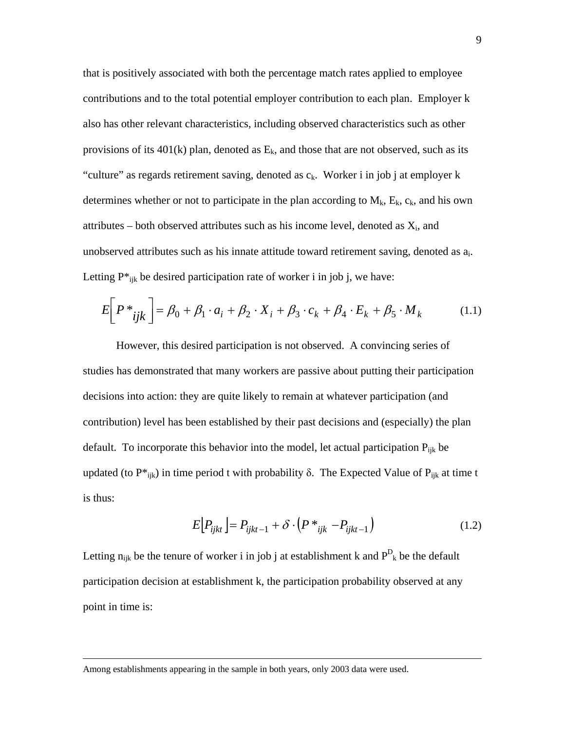that is positively associated with both the percentage match rates applied to employee contributions and to the total potential employer contribution to each plan. Employer k also has other relevant characteristics, including observed characteristics such as other provisions of its  $401(k)$  plan, denoted as  $E_k$ , and those that are not observed, such as its "culture" as regards retirement saving, denoted as  $c_k$ . Worker i in job j at employer k determines whether or not to participate in the plan according to  $M_k$ ,  $E_k$ ,  $c_k$ , and his own attributes – both observed attributes such as his income level, denoted as  $X_i$ , and unobserved attributes such as his innate attitude toward retirement saving, denoted as ai. Letting  $P^*_{ijk}$  be desired participation rate of worker i in job j, we have:

$$
E\left[P^*_{ijk}\right] = \beta_0 + \beta_1 \cdot a_i + \beta_2 \cdot X_i + \beta_3 \cdot c_k + \beta_4 \cdot E_k + \beta_5 \cdot M_k \tag{1.1}
$$

However, this desired participation is not observed. A convincing series of studies has demonstrated that many workers are passive about putting their participation decisions into action: they are quite likely to remain at whatever participation (and contribution) level has been established by their past decisions and (especially) the plan default. To incorporate this behavior into the model, let actual participation  $P_{ijk}$  be updated (to  $P^*_{ijk}$ ) in time period t with probability δ. The Expected Value of  $P_{ijk}$  at time t is thus:

$$
E[P_{ijkt}] = P_{ijkt-1} + \delta \cdot (P \cdot_{ijk} - P_{ijkt-1})
$$
\n(1.2)

Letting  $n_{ijk}$  be the tenure of worker i in job j at establishment k and  $P_{k}^{D}$  be the default participation decision at establishment k, the participation probability observed at any point in time is:

Among establishments appearing in the sample in both years, only 2003 data were used.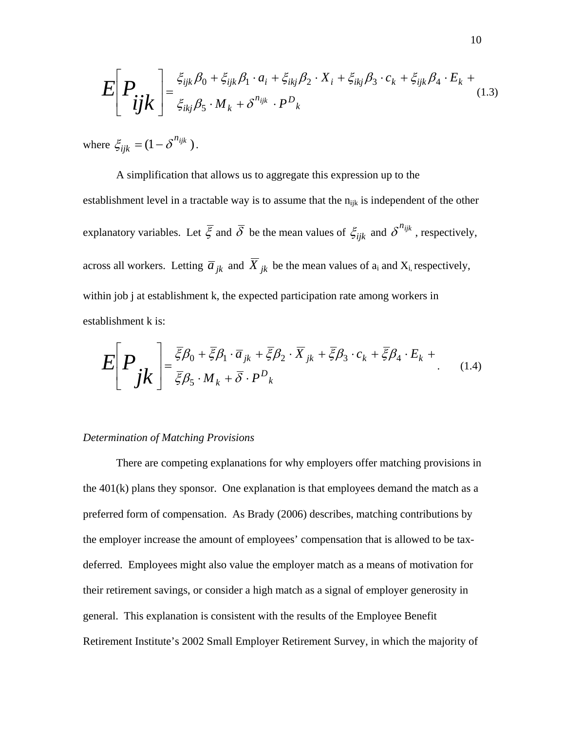$$
E\left[P_{ijk}\right] = \frac{\xi_{ijk}\beta_0 + \xi_{ijk}\beta_1 \cdot a_i + \xi_{ikj}\beta_2 \cdot X_i + \xi_{ikj}\beta_3 \cdot c_k + \xi_{ijk}\beta_4 \cdot E_k + \xi_{ijk}\beta_5 \cdot M_k + \delta^{n_{ijk}} \cdot P^D_k
$$
\n(1.3)

where  $\xi_{ijk} = (1 - \delta^{n_{ijk}})$ .

A simplification that allows us to aggregate this expression up to the establishment level in a tractable way is to assume that the  $n_{ijk}$  is independent of the other explanatory variables. Let  $\bar{\xi}$  and  $\bar{\delta}$  be the mean values of  $\xi_{ijk}$  and  $\delta^{n_{ijk}}$ , respectively, across all workers. Letting  $\overline{a}_{jk}$  and  $\overline{X}_{jk}$  be the mean values of  $a_i$  and  $X_i$ , respectively, within job j at establishment k, the expected participation rate among workers in establishment k is:

$$
E\left[P_{jk}\right] = \frac{\bar{\xi}\beta_0 + \bar{\xi}\beta_1 \cdot \bar{a}_{jk} + \bar{\xi}\beta_2 \cdot \bar{X}_{jk} + \bar{\xi}\beta_3 \cdot c_k + \bar{\xi}\beta_4 \cdot E_k + \bar{\xi}\beta_5 \cdot M_k + \bar{\delta} \cdot P_{jk}
$$
\n(1.4)

#### *Determination of Matching Provisions*

There are competing explanations for why employers offer matching provisions in the  $401(k)$  plans they sponsor. One explanation is that employees demand the match as a preferred form of compensation. As Brady (2006) describes, matching contributions by the employer increase the amount of employees' compensation that is allowed to be taxdeferred. Employees might also value the employer match as a means of motivation for their retirement savings, or consider a high match as a signal of employer generosity in general. This explanation is consistent with the results of the Employee Benefit Retirement Institute's 2002 Small Employer Retirement Survey, in which the majority of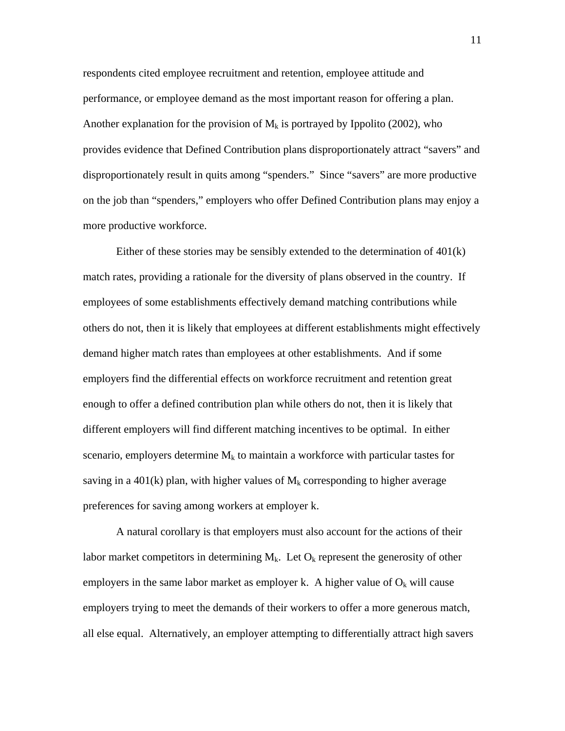respondents cited employee recruitment and retention, employee attitude and performance, or employee demand as the most important reason for offering a plan. Another explanation for the provision of  $M_k$  is portrayed by Ippolito (2002), who provides evidence that Defined Contribution plans disproportionately attract "savers" and disproportionately result in quits among "spenders." Since "savers" are more productive on the job than "spenders," employers who offer Defined Contribution plans may enjoy a more productive workforce.

Either of these stories may be sensibly extended to the determination of  $401(k)$ match rates, providing a rationale for the diversity of plans observed in the country. If employees of some establishments effectively demand matching contributions while others do not, then it is likely that employees at different establishments might effectively demand higher match rates than employees at other establishments. And if some employers find the differential effects on workforce recruitment and retention great enough to offer a defined contribution plan while others do not, then it is likely that different employers will find different matching incentives to be optimal. In either scenario, employers determine  $M_k$  to maintain a workforce with particular tastes for saving in a 401(k) plan, with higher values of  $M_k$  corresponding to higher average preferences for saving among workers at employer k.

A natural corollary is that employers must also account for the actions of their labor market competitors in determining  $M_k$ . Let  $O_k$  represent the generosity of other employers in the same labor market as employer k. A higher value of  $O_k$  will cause employers trying to meet the demands of their workers to offer a more generous match, all else equal. Alternatively, an employer attempting to differentially attract high savers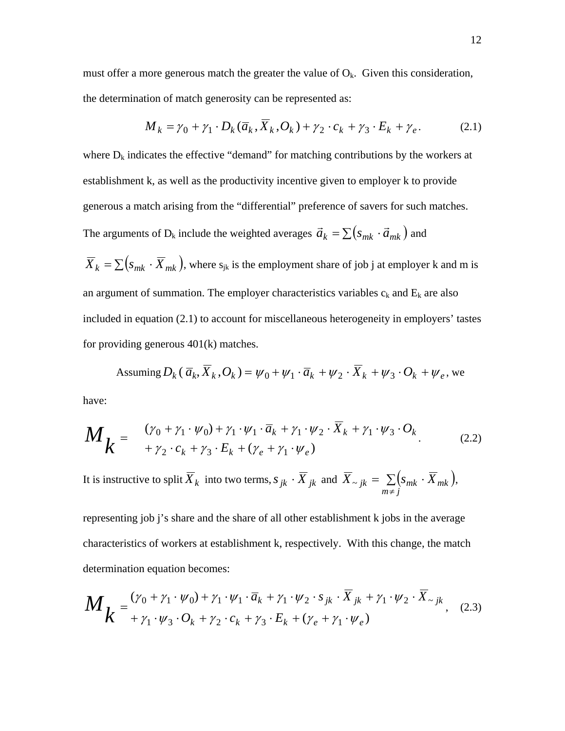must offer a more generous match the greater the value of  $O_k$ . Given this consideration, the determination of match generosity can be represented as:

$$
M_k = \gamma_0 + \gamma_1 \cdot D_k(\overline{a}_k, \overline{X}_k, O_k) + \gamma_2 \cdot c_k + \gamma_3 \cdot E_k + \gamma_e. \tag{2.1}
$$

where  $D_k$  indicates the effective "demand" for matching contributions by the workers at establishment k, as well as the productivity incentive given to employer k to provide generous a match arising from the "differential" preference of savers for such matches. The arguments of D<sub>k</sub> include the weighted averages  $\vec{a}_k = \sum (s_{mk} \cdot \vec{a}_{mk})$  and

 $\overline{X}_k = \sum ( s_{mk} \cdot \overline{X}_{mk} )$ , where  $s_{jk}$  is the employment share of job j at employer k and m is an argument of summation. The employer characteristics variables  $c_k$  and  $E_k$  are also included in equation (2.1) to account for miscellaneous heterogeneity in employers' tastes for providing generous 401(k) matches.

Assuming 
$$
D_k(\overline{a}_k, \overline{X}_k, O_k) = \psi_0 + \psi_1 \cdot \overline{a}_k + \psi_2 \cdot \overline{X}_k + \psi_3 \cdot O_k + \psi_e
$$
, we

have:

$$
M_{k} = \begin{cases} (\gamma_{0} + \gamma_{1} \cdot \psi_{0}) + \gamma_{1} \cdot \psi_{1} \cdot \overline{a}_{k} + \gamma_{1} \cdot \psi_{2} \cdot \overline{X}_{k} + \gamma_{1} \cdot \psi_{3} \cdot O_{k} \\ + \gamma_{2} \cdot c_{k} + \gamma_{3} \cdot E_{k} + (\gamma_{e} + \gamma_{1} \cdot \psi_{e}) \end{cases}
$$
(2.2)

It is instructive to split  $\overline{X}_k$  into two terms,  $s_{jk} \cdot \overline{X}_{jk}$  and  $\overline{X}_{\sim jk} = \sum_{m \neq j} (s_{mk} \cdot \overline{X}_{mk})$ ,

representing job j's share and the share of all other establishment k jobs in the average characteristics of workers at establishment k, respectively. With this change, the match determination equation becomes:

$$
M_{k} = \frac{(\gamma_0 + \gamma_1 \cdot \psi_0) + \gamma_1 \cdot \psi_1 \cdot \overline{a}_k + \gamma_1 \cdot \psi_2 \cdot s_{jk} \cdot \overline{X}_{jk} + \gamma_1 \cdot \psi_2 \cdot \overline{X}_{-jk}}{+\gamma_1 \cdot \psi_3 \cdot O_k + \gamma_2 \cdot c_k + \gamma_3 \cdot E_k + (\gamma_e + \gamma_1 \cdot \psi_e)}, \quad (2.3)
$$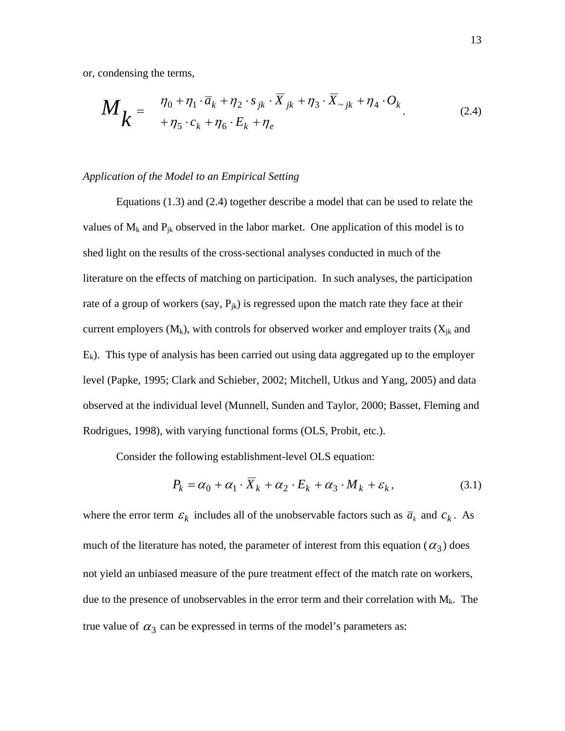or, condensing the terms,

$$
M_{k} = \frac{\eta_{0} + \eta_{1} \cdot \overline{a}_{k} + \eta_{2} \cdot s_{jk} \cdot \overline{X}_{jk} + \eta_{3} \cdot \overline{X}_{\sim jk} + \eta_{4} \cdot O_{k}}{+\eta_{5} \cdot c_{k} + \eta_{6} \cdot E_{k} + \eta_{e}}.
$$
 (2.4)

#### *Application of the Model to an Empirical Setting*

Equations (1.3) and (2.4) together describe a model that can be used to relate the values of  $M_k$  and  $P_{jk}$  observed in the labor market. One application of this model is to shed light on the results of the cross-sectional analyses conducted in much of the literature on the effects of matching on participation. In such analyses, the participation rate of a group of workers (say,  $P_{ik}$ ) is regressed upon the match rate they face at their current employers  $(M_k)$ , with controls for observed worker and employer traits  $(X_{ik}$  and  $E_k$ ). This type of analysis has been carried out using data aggregated up to the employer level (Papke, 1995; Clark and Schieber, 2002; Mitchell, Utkus and Yang, 2005) and data observed at the individual level (Munnell, Sunden and Taylor, 2000; Basset, Fleming and Rodrigues, 1998), with varying functional forms (OLS, Probit, etc.).

Consider the following establishment-level OLS equation:

$$
P_k = \alpha_0 + \alpha_1 \cdot \overline{X}_k + \alpha_2 \cdot E_k + \alpha_3 \cdot M_k + \varepsilon_k, \tag{3.1}
$$

where the error term  $\varepsilon_k$  includes all of the unobservable factors such as  $\overline{a}_k$  and  $c_k$ . As much of the literature has noted, the parameter of interest from this equation ( $\alpha_3$ ) does not yield an unbiased measure of the pure treatment effect of the match rate on workers, due to the presence of unobservables in the error term and their correlation with  $M_k$ . The true value of  $\alpha_3$  can be expressed in terms of the model's parameters as: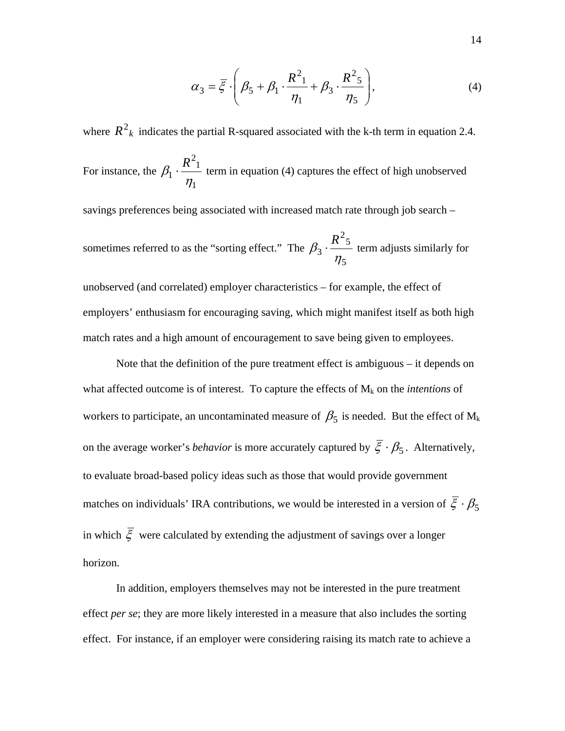$$
\alpha_3 = \overline{\xi} \cdot \left( \beta_5 + \beta_1 \cdot \frac{R^2_1}{\eta_1} + \beta_3 \cdot \frac{R^2_5}{\eta_5} \right),\tag{4}
$$

where  $R^2_k$  indicates the partial R-squared associated with the k-th term in equation 2.4. For instance, the 1  $\frac{2}{1}$  $\overline{1}$ η  $\beta_1 \cdot \frac{R^2_1}{R}$  term in equation (4) captures the effect of high unobserved savings preferences being associated with increased match rate through job search – sometimes referred to as the "sorting effect." The 5  $\frac{2}{5}$ 3 η  $\beta_3 \cdot \frac{R^2 5}{R}$  term adjusts similarly for unobserved (and correlated) employer characteristics – for example, the effect of employers' enthusiasm for encouraging saving, which might manifest itself as both high match rates and a high amount of encouragement to save being given to employees.

Note that the definition of the pure treatment effect is ambiguous – it depends on what affected outcome is of interest. To capture the effects of  $M_k$  on the *intentions* of workers to participate, an uncontaminated measure of  $\beta_5$  is needed. But the effect of  $M_k$ on the average worker's *behavior* is more accurately captured by  $\bar{\xi} \cdot \beta_5$ . Alternatively, to evaluate broad-based policy ideas such as those that would provide government matches on individuals' IRA contributions, we would be interested in a version of  $\overline{\xi} \cdot \beta_5$ in which  $\overline{\xi}$  were calculated by extending the adjustment of savings over a longer horizon.

In addition, employers themselves may not be interested in the pure treatment effect *per se*; they are more likely interested in a measure that also includes the sorting effect. For instance, if an employer were considering raising its match rate to achieve a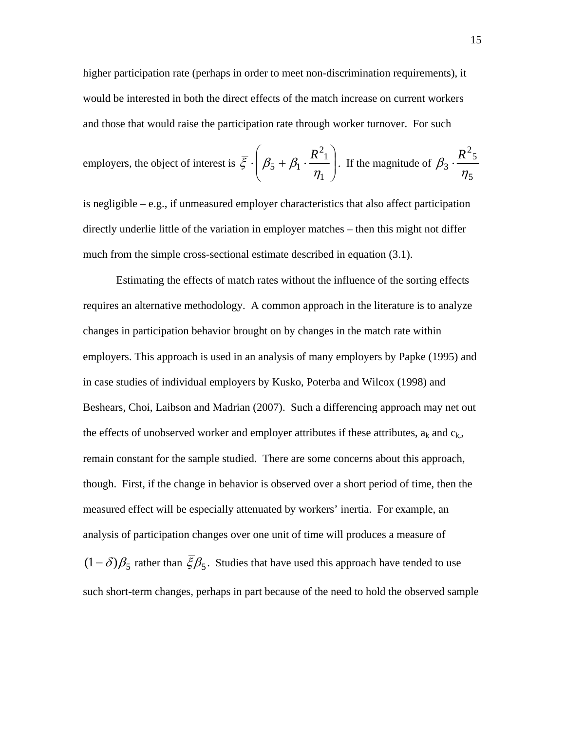higher participation rate (perhaps in order to meet non-discrimination requirements), it would be interested in both the direct effects of the match increase on current workers and those that would raise the participation rate through worker turnover. For such

emplovers, the object of interest is 
$$
\overline{\xi} \cdot \left( \beta_5 + \beta_1 \cdot \frac{R^2_1}{\eta_1} \right)
$$
. If the magnitude of  $\beta_3 \cdot \frac{R^2_5}{\eta_5}$ 

is negligible – e.g., if unmeasured employer characteristics that also affect participation directly underlie little of the variation in employer matches – then this might not differ much from the simple cross-sectional estimate described in equation (3.1).

Estimating the effects of match rates without the influence of the sorting effects requires an alternative methodology. A common approach in the literature is to analyze changes in participation behavior brought on by changes in the match rate within employers. This approach is used in an analysis of many employers by Papke (1995) and in case studies of individual employers by Kusko, Poterba and Wilcox (1998) and Beshears, Choi, Laibson and Madrian (2007). Such a differencing approach may net out the effects of unobserved worker and employer attributes if these attributes,  $a_k$  and  $c_k$ , remain constant for the sample studied. There are some concerns about this approach, though. First, if the change in behavior is observed over a short period of time, then the measured effect will be especially attenuated by workers' inertia. For example, an analysis of participation changes over one unit of time will produces a measure of  $(1 - \delta)\beta_5$  rather than  $\bar{\xi}\beta_5$ . Studies that have used this approach have tended to use such short-term changes, perhaps in part because of the need to hold the observed sample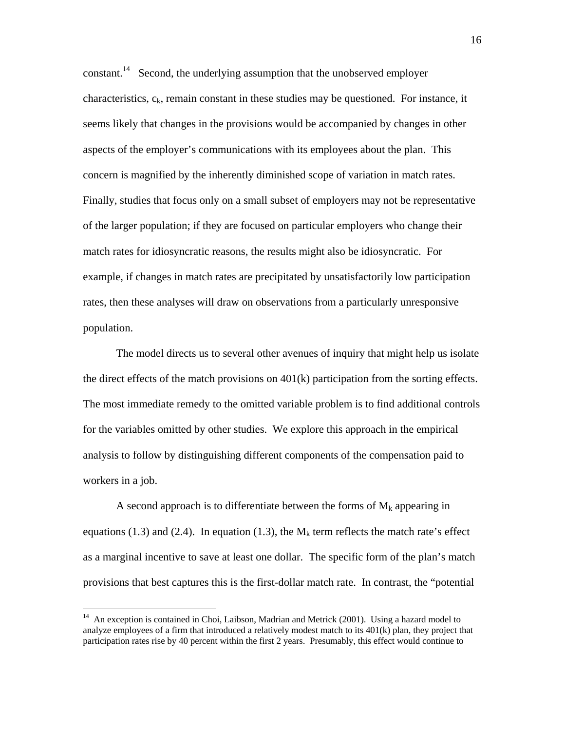constant.<sup>14</sup> Second, the underlying assumption that the unobserved employer characteristics,  $c_k$ , remain constant in these studies may be questioned. For instance, it seems likely that changes in the provisions would be accompanied by changes in other aspects of the employer's communications with its employees about the plan. This concern is magnified by the inherently diminished scope of variation in match rates. Finally, studies that focus only on a small subset of employers may not be representative of the larger population; if they are focused on particular employers who change their match rates for idiosyncratic reasons, the results might also be idiosyncratic. For example, if changes in match rates are precipitated by unsatisfactorily low participation rates, then these analyses will draw on observations from a particularly unresponsive population.

The model directs us to several other avenues of inquiry that might help us isolate the direct effects of the match provisions on 401(k) participation from the sorting effects. The most immediate remedy to the omitted variable problem is to find additional controls for the variables omitted by other studies. We explore this approach in the empirical analysis to follow by distinguishing different components of the compensation paid to workers in a job.

A second approach is to differentiate between the forms of  $M_k$  appearing in equations (1.3) and (2.4). In equation (1.3), the  $M_k$  term reflects the match rate's effect as a marginal incentive to save at least one dollar. The specific form of the plan's match provisions that best captures this is the first-dollar match rate. In contrast, the "potential

<sup>&</sup>lt;sup>14</sup> An exception is contained in Choi, Laibson, Madrian and Metrick (2001). Using a hazard model to analyze employees of a firm that introduced a relatively modest match to its  $401(k)$  plan, they project that participation rates rise by 40 percent within the first 2 years. Presumably, this effect would continue to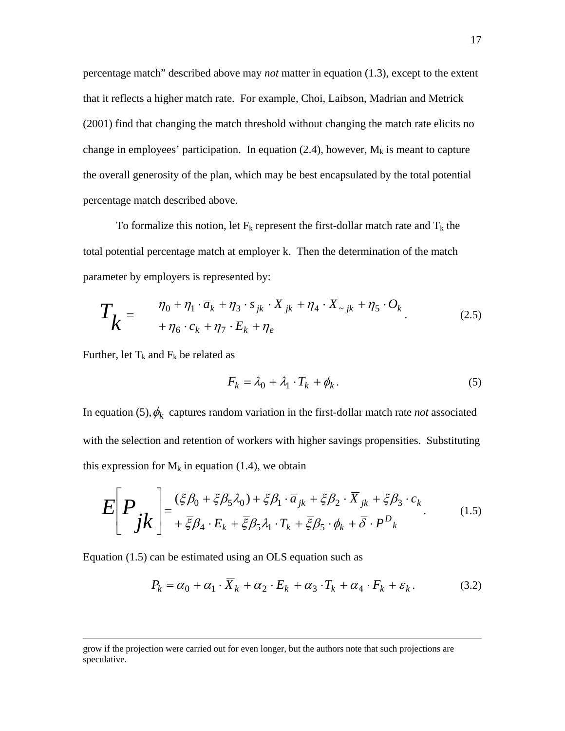percentage match" described above may *not* matter in equation (1.3), except to the extent that it reflects a higher match rate. For example, Choi, Laibson, Madrian and Metrick (2001) find that changing the match threshold without changing the match rate elicits no change in employees' participation. In equation (2.4), however,  $M_k$  is meant to capture the overall generosity of the plan, which may be best encapsulated by the total potential percentage match described above.

To formalize this notion, let  $F_k$  represent the first-dollar match rate and  $T_k$  the total potential percentage match at employer k. Then the determination of the match parameter by employers is represented by:

$$
T_k = \frac{\eta_0 + \eta_1 \cdot \overline{a}_k + \eta_3 \cdot s_{jk} \cdot \overline{X}_{jk} + \eta_4 \cdot \overline{X}_{\sim jk} + \eta_5 \cdot O_k}{+\eta_6 \cdot c_k + \eta_7 \cdot E_k + \eta_e}.
$$
 (2.5)

Further, let  $T_k$  and  $F_k$  be related as

$$
F_k = \lambda_0 + \lambda_1 \cdot T_k + \phi_k. \tag{5}
$$

In equation (5),  $\phi_k$  captures random variation in the first-dollar match rate *not* associated with the selection and retention of workers with higher savings propensities. Substituting this expression for  $M_k$  in equation (1.4), we obtain

$$
E\left[P_{jk}\right] = \frac{(\bar{\xi}\beta_0 + \bar{\xi}\beta_5\lambda_0) + \bar{\xi}\beta_1 \cdot \bar{a}_{jk} + \bar{\xi}\beta_2 \cdot \bar{X}_{jk} + \bar{\xi}\beta_3 \cdot c_k}{+\bar{\xi}\beta_4 \cdot E_k + \bar{\xi}\beta_5\lambda_1 \cdot T_k + \bar{\xi}\beta_5 \cdot \phi_k + \bar{\delta} \cdot P^D_k}
$$
(1.5)

Equation (1.5) can be estimated using an OLS equation such as

$$
P_k = \alpha_0 + \alpha_1 \cdot \overline{X}_k + \alpha_2 \cdot E_k + \alpha_3 \cdot T_k + \alpha_4 \cdot F_k + \varepsilon_k. \tag{3.2}
$$

grow if the projection were carried out for even longer, but the authors note that such projections are speculative.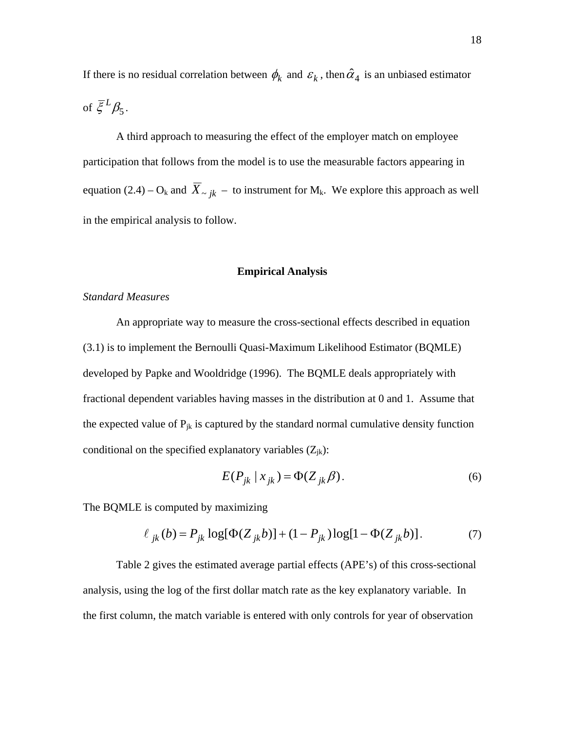If there is no residual correlation between  $\phi_k$  and  $\varepsilon_k$ , then  $\hat{\alpha}_4$  is an unbiased estimator of  $\bar{\xi}^L \beta_5$ .

A third approach to measuring the effect of the employer match on employee participation that follows from the model is to use the measurable factors appearing in equation (2.4) – O<sub>k</sub> and  $\overline{X}_{\sim jk}$  – to instrument for M<sub>k</sub>. We explore this approach as well in the empirical analysis to follow.

#### **Empirical Analysis**

# *Standard Measures*

An appropriate way to measure the cross-sectional effects described in equation (3.1) is to implement the Bernoulli Quasi-Maximum Likelihood Estimator (BQMLE) developed by Papke and Wooldridge (1996). The BQMLE deals appropriately with fractional dependent variables having masses in the distribution at 0 and 1. Assume that the expected value of  $P_{jk}$  is captured by the standard normal cumulative density function conditional on the specified explanatory variables  $(Z_{jk})$ :

$$
E(P_{jk} | x_{jk}) = \Phi(Z_{jk}\beta). \tag{6}
$$

The BQMLE is computed by maximizing

$$
\ell_{jk}(b) = P_{jk} \log[\Phi(Z_{jk}b)] + (1 - P_{jk}) \log[1 - \Phi(Z_{jk}b)].
$$
 (7)

Table 2 gives the estimated average partial effects (APE's) of this cross-sectional analysis, using the log of the first dollar match rate as the key explanatory variable. In the first column, the match variable is entered with only controls for year of observation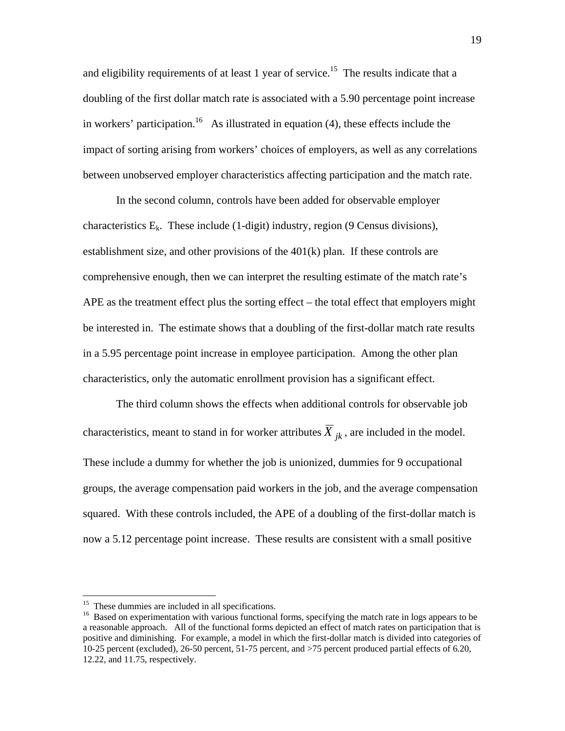and eligibility requirements of at least 1 year of service.<sup>15</sup> The results indicate that a doubling of the first dollar match rate is associated with a 5.90 percentage point increase in workers' participation.<sup>16</sup> As illustrated in equation (4), these effects include the impact of sorting arising from workers' choices of employers, as well as any correlations between unobserved employer characteristics affecting participation and the match rate.

In the second column, controls have been added for observable employer characteristics  $E_k$ . These include (1-digit) industry, region (9 Census divisions), establishment size, and other provisions of the 401(k) plan. If these controls are comprehensive enough, then we can interpret the resulting estimate of the match rate's APE as the treatment effect plus the sorting effect – the total effect that employers might be interested in. The estimate shows that a doubling of the first-dollar match rate results in a 5.95 percentage point increase in employee participation. Among the other plan characteristics, only the automatic enrollment provision has a significant effect.

The third column shows the effects when additional controls for observable job characteristics, meant to stand in for worker attributes  $\overline{X}_{ik}$ , are included in the model. These include a dummy for whether the job is unionized, dummies for 9 occupational groups, the average compensation paid workers in the job, and the average compensation squared. With these controls included, the APE of a doubling of the first-dollar match is now a 5.12 percentage point increase. These results are consistent with a small positive

<sup>&</sup>lt;sup>15</sup> These dummies are included in all specifications.

<sup>&</sup>lt;sup>16</sup> Based on experimentation with various functional forms, specifying the match rate in logs appears to be a reasonable approach. All of the functional forms depicted an effect of match rates on participation that is positive and diminishing. For example, a model in which the first-dollar match is divided into categories of 10-25 percent (excluded), 26-50 percent, 51-75 percent, and >75 percent produced partial effects of 6.20, 12.22, and 11.75, respectively.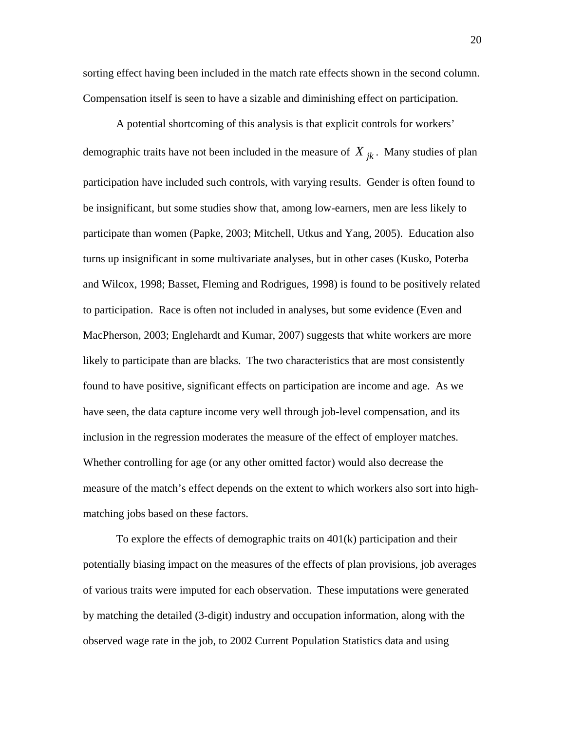sorting effect having been included in the match rate effects shown in the second column. Compensation itself is seen to have a sizable and diminishing effect on participation.

A potential shortcoming of this analysis is that explicit controls for workers' demographic traits have not been included in the measure of  $\overline{X}_{ik}$ . Many studies of plan participation have included such controls, with varying results. Gender is often found to be insignificant, but some studies show that, among low-earners, men are less likely to participate than women (Papke, 2003; Mitchell, Utkus and Yang, 2005). Education also turns up insignificant in some multivariate analyses, but in other cases (Kusko, Poterba and Wilcox, 1998; Basset, Fleming and Rodrigues, 1998) is found to be positively related to participation. Race is often not included in analyses, but some evidence (Even and MacPherson, 2003; Englehardt and Kumar, 2007) suggests that white workers are more likely to participate than are blacks. The two characteristics that are most consistently found to have positive, significant effects on participation are income and age. As we have seen, the data capture income very well through job-level compensation, and its inclusion in the regression moderates the measure of the effect of employer matches. Whether controlling for age (or any other omitted factor) would also decrease the measure of the match's effect depends on the extent to which workers also sort into highmatching jobs based on these factors.

To explore the effects of demographic traits on 401(k) participation and their potentially biasing impact on the measures of the effects of plan provisions, job averages of various traits were imputed for each observation. These imputations were generated by matching the detailed (3-digit) industry and occupation information, along with the observed wage rate in the job, to 2002 Current Population Statistics data and using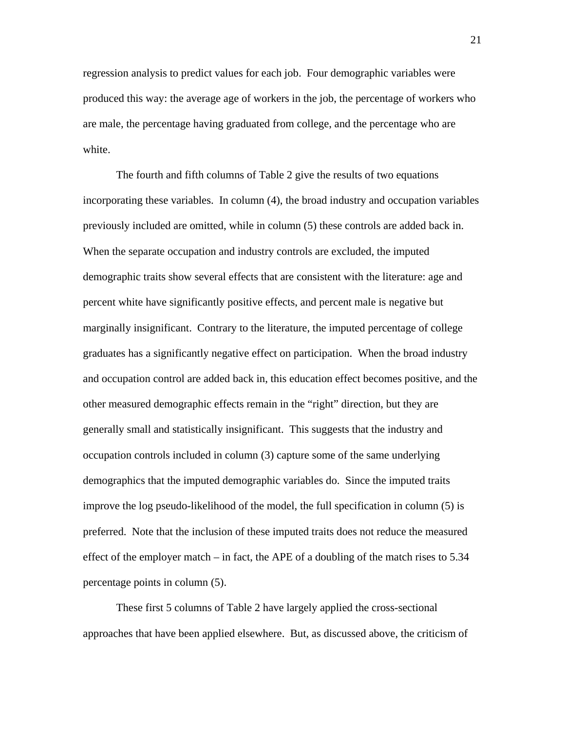regression analysis to predict values for each job. Four demographic variables were produced this way: the average age of workers in the job, the percentage of workers who are male, the percentage having graduated from college, and the percentage who are white.

The fourth and fifth columns of Table 2 give the results of two equations incorporating these variables. In column (4), the broad industry and occupation variables previously included are omitted, while in column (5) these controls are added back in. When the separate occupation and industry controls are excluded, the imputed demographic traits show several effects that are consistent with the literature: age and percent white have significantly positive effects, and percent male is negative but marginally insignificant. Contrary to the literature, the imputed percentage of college graduates has a significantly negative effect on participation. When the broad industry and occupation control are added back in, this education effect becomes positive, and the other measured demographic effects remain in the "right" direction, but they are generally small and statistically insignificant. This suggests that the industry and occupation controls included in column (3) capture some of the same underlying demographics that the imputed demographic variables do. Since the imputed traits improve the log pseudo-likelihood of the model, the full specification in column (5) is preferred. Note that the inclusion of these imputed traits does not reduce the measured effect of the employer match – in fact, the APE of a doubling of the match rises to 5.34 percentage points in column (5).

These first 5 columns of Table 2 have largely applied the cross-sectional approaches that have been applied elsewhere. But, as discussed above, the criticism of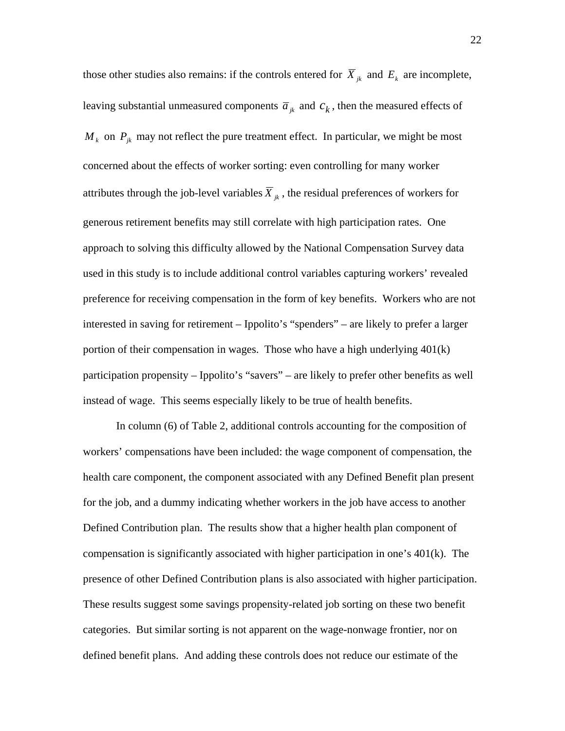those other studies also remains: if the controls entered for  $\overline{X}_{ik}$  and  $E_k$  are incomplete, leaving substantial unmeasured components  $\bar{a}_{jk}$  and  $c_k$ , then the measured effects of  $M_k$  on  $P_{jk}$  may not reflect the pure treatment effect. In particular, we might be most concerned about the effects of worker sorting: even controlling for many worker attributes through the job-level variables  $\overline{X}_{ik}$ , the residual preferences of workers for generous retirement benefits may still correlate with high participation rates. One approach to solving this difficulty allowed by the National Compensation Survey data used in this study is to include additional control variables capturing workers' revealed preference for receiving compensation in the form of key benefits. Workers who are not interested in saving for retirement – Ippolito's "spenders" – are likely to prefer a larger portion of their compensation in wages. Those who have a high underlying 401(k) participation propensity – Ippolito's "savers" – are likely to prefer other benefits as well instead of wage. This seems especially likely to be true of health benefits.

In column (6) of Table 2, additional controls accounting for the composition of workers' compensations have been included: the wage component of compensation, the health care component, the component associated with any Defined Benefit plan present for the job, and a dummy indicating whether workers in the job have access to another Defined Contribution plan. The results show that a higher health plan component of compensation is significantly associated with higher participation in one's 401(k). The presence of other Defined Contribution plans is also associated with higher participation. These results suggest some savings propensity-related job sorting on these two benefit categories. But similar sorting is not apparent on the wage-nonwage frontier, nor on defined benefit plans. And adding these controls does not reduce our estimate of the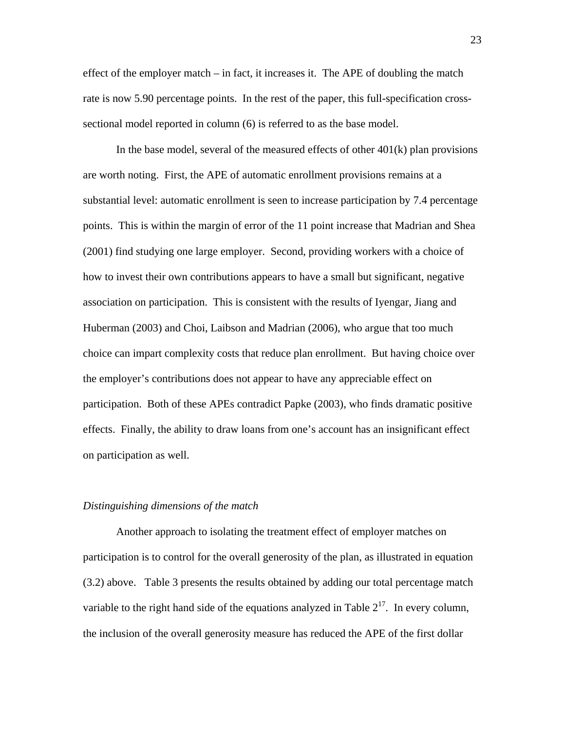effect of the employer match – in fact, it increases it. The APE of doubling the match rate is now 5.90 percentage points. In the rest of the paper, this full-specification crosssectional model reported in column (6) is referred to as the base model.

In the base model, several of the measured effects of other  $401(k)$  plan provisions are worth noting. First, the APE of automatic enrollment provisions remains at a substantial level: automatic enrollment is seen to increase participation by 7.4 percentage points. This is within the margin of error of the 11 point increase that Madrian and Shea (2001) find studying one large employer. Second, providing workers with a choice of how to invest their own contributions appears to have a small but significant, negative association on participation. This is consistent with the results of Iyengar, Jiang and Huberman (2003) and Choi, Laibson and Madrian (2006), who argue that too much choice can impart complexity costs that reduce plan enrollment. But having choice over the employer's contributions does not appear to have any appreciable effect on participation. Both of these APEs contradict Papke (2003), who finds dramatic positive effects. Finally, the ability to draw loans from one's account has an insignificant effect on participation as well.

#### *Distinguishing dimensions of the match*

Another approach to isolating the treatment effect of employer matches on participation is to control for the overall generosity of the plan, as illustrated in equation (3.2) above. Table 3 presents the results obtained by adding our total percentage match variable to the right hand side of the equations analyzed in Table  $2^{17}$ . In every column, the inclusion of the overall generosity measure has reduced the APE of the first dollar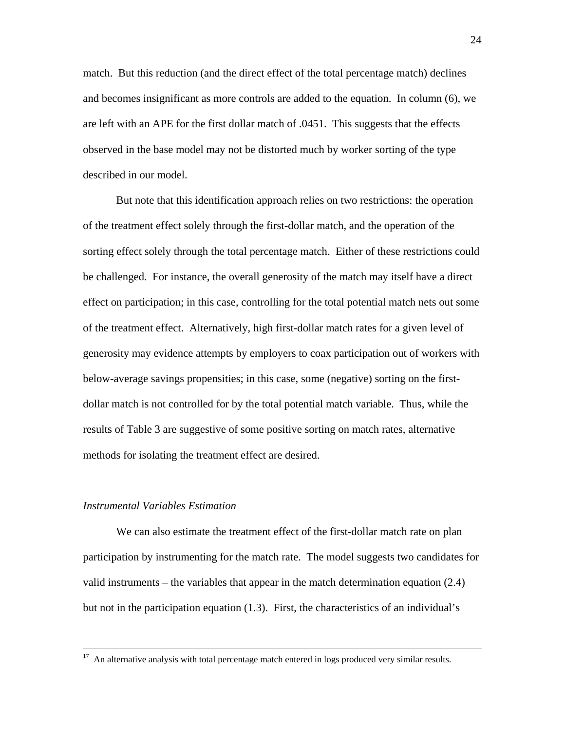match. But this reduction (and the direct effect of the total percentage match) declines and becomes insignificant as more controls are added to the equation. In column (6), we are left with an APE for the first dollar match of .0451. This suggests that the effects observed in the base model may not be distorted much by worker sorting of the type described in our model.

But note that this identification approach relies on two restrictions: the operation of the treatment effect solely through the first-dollar match, and the operation of the sorting effect solely through the total percentage match. Either of these restrictions could be challenged. For instance, the overall generosity of the match may itself have a direct effect on participation; in this case, controlling for the total potential match nets out some of the treatment effect. Alternatively, high first-dollar match rates for a given level of generosity may evidence attempts by employers to coax participation out of workers with below-average savings propensities; in this case, some (negative) sorting on the firstdollar match is not controlled for by the total potential match variable. Thus, while the results of Table 3 are suggestive of some positive sorting on match rates, alternative methods for isolating the treatment effect are desired.

#### *Instrumental Variables Estimation*

We can also estimate the treatment effect of the first-dollar match rate on plan participation by instrumenting for the match rate. The model suggests two candidates for valid instruments – the variables that appear in the match determination equation (2.4) but not in the participation equation (1.3). First, the characteristics of an individual's

<sup>&</sup>lt;sup>17</sup> An alternative analysis with total percentage match entered in logs produced very similar results.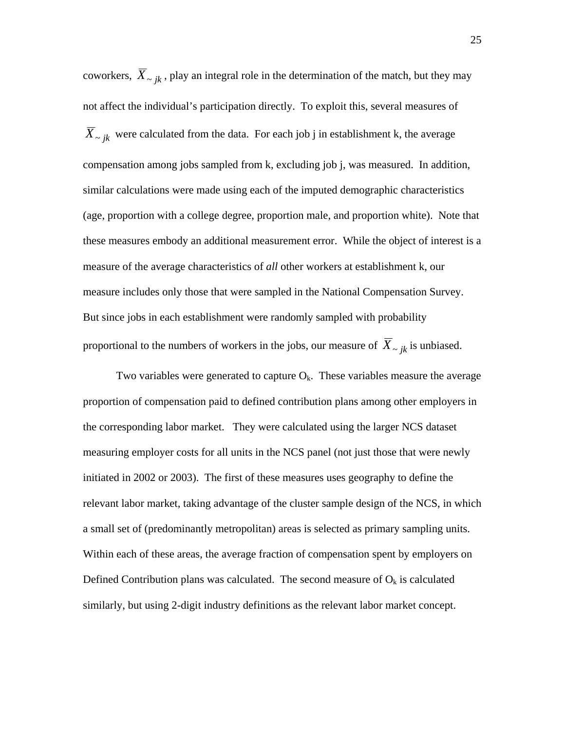coworkers,  $\overline{X}_{\sim i k}$ , play an integral role in the determination of the match, but they may not affect the individual's participation directly. To exploit this, several measures of  $\overline{X}_{\sim ik}$  were calculated from the data. For each job j in establishment k, the average compensation among jobs sampled from k, excluding job j, was measured. In addition, similar calculations were made using each of the imputed demographic characteristics (age, proportion with a college degree, proportion male, and proportion white). Note that these measures embody an additional measurement error. While the object of interest is a measure of the average characteristics of *all* other workers at establishment k, our measure includes only those that were sampled in the National Compensation Survey. But since jobs in each establishment were randomly sampled with probability proportional to the numbers of workers in the jobs, our measure of  $\overline{X}_{\sim ik}$  is unbiased.

Two variables were generated to capture  $O_k$ . These variables measure the average proportion of compensation paid to defined contribution plans among other employers in the corresponding labor market. They were calculated using the larger NCS dataset measuring employer costs for all units in the NCS panel (not just those that were newly initiated in 2002 or 2003). The first of these measures uses geography to define the relevant labor market, taking advantage of the cluster sample design of the NCS, in which a small set of (predominantly metropolitan) areas is selected as primary sampling units. Within each of these areas, the average fraction of compensation spent by employers on Defined Contribution plans was calculated. The second measure of  $O_k$  is calculated similarly, but using 2-digit industry definitions as the relevant labor market concept.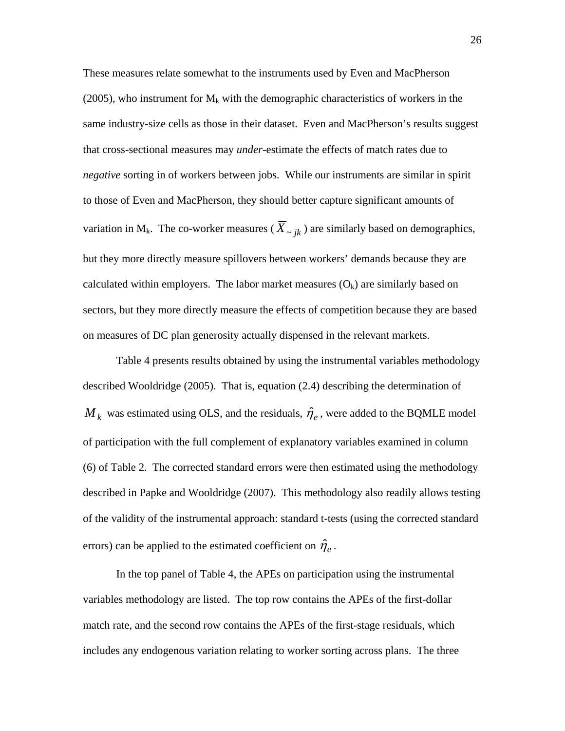These measures relate somewhat to the instruments used by Even and MacPherson (2005), who instrument for  $M_k$  with the demographic characteristics of workers in the same industry-size cells as those in their dataset. Even and MacPherson's results suggest that cross-sectional measures may *under*-estimate the effects of match rates due to *negative* sorting in of workers between jobs. While our instruments are similar in spirit to those of Even and MacPherson, they should better capture significant amounts of variation in M<sub>k</sub>. The co-worker measures ( $\overline{X}_{\sim i k}$ ) are similarly based on demographics, but they more directly measure spillovers between workers' demands because they are calculated within employers. The labor market measures  $(O_k)$  are similarly based on sectors, but they more directly measure the effects of competition because they are based on measures of DC plan generosity actually dispensed in the relevant markets.

Table 4 presents results obtained by using the instrumental variables methodology described Wooldridge (2005). That is, equation (2.4) describing the determination of  $M_k$  was estimated using OLS, and the residuals,  $\hat{\eta}_e$ , were added to the BQMLE model of participation with the full complement of explanatory variables examined in column (6) of Table 2. The corrected standard errors were then estimated using the methodology described in Papke and Wooldridge (2007). This methodology also readily allows testing of the validity of the instrumental approach: standard t-tests (using the corrected standard errors) can be applied to the estimated coefficient on  $\hat{\eta}_e$ .

In the top panel of Table 4, the APEs on participation using the instrumental variables methodology are listed. The top row contains the APEs of the first-dollar match rate, and the second row contains the APEs of the first-stage residuals, which includes any endogenous variation relating to worker sorting across plans. The three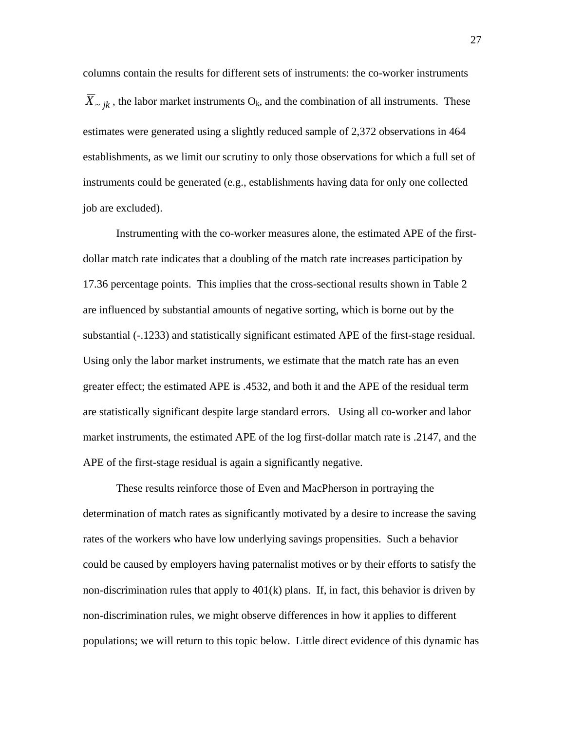columns contain the results for different sets of instruments: the co-worker instruments  $\overline{X}_{\sim ik}$ , the labor market instruments O<sub>k</sub>, and the combination of all instruments. These estimates were generated using a slightly reduced sample of 2,372 observations in 464 establishments, as we limit our scrutiny to only those observations for which a full set of instruments could be generated (e.g., establishments having data for only one collected job are excluded).

Instrumenting with the co-worker measures alone, the estimated APE of the firstdollar match rate indicates that a doubling of the match rate increases participation by 17.36 percentage points. This implies that the cross-sectional results shown in Table 2 are influenced by substantial amounts of negative sorting, which is borne out by the substantial (-.1233) and statistically significant estimated APE of the first-stage residual. Using only the labor market instruments, we estimate that the match rate has an even greater effect; the estimated APE is .4532, and both it and the APE of the residual term are statistically significant despite large standard errors. Using all co-worker and labor market instruments, the estimated APE of the log first-dollar match rate is .2147, and the APE of the first-stage residual is again a significantly negative.

These results reinforce those of Even and MacPherson in portraying the determination of match rates as significantly motivated by a desire to increase the saving rates of the workers who have low underlying savings propensities. Such a behavior could be caused by employers having paternalist motives or by their efforts to satisfy the non-discrimination rules that apply to  $401(k)$  plans. If, in fact, this behavior is driven by non-discrimination rules, we might observe differences in how it applies to different populations; we will return to this topic below. Little direct evidence of this dynamic has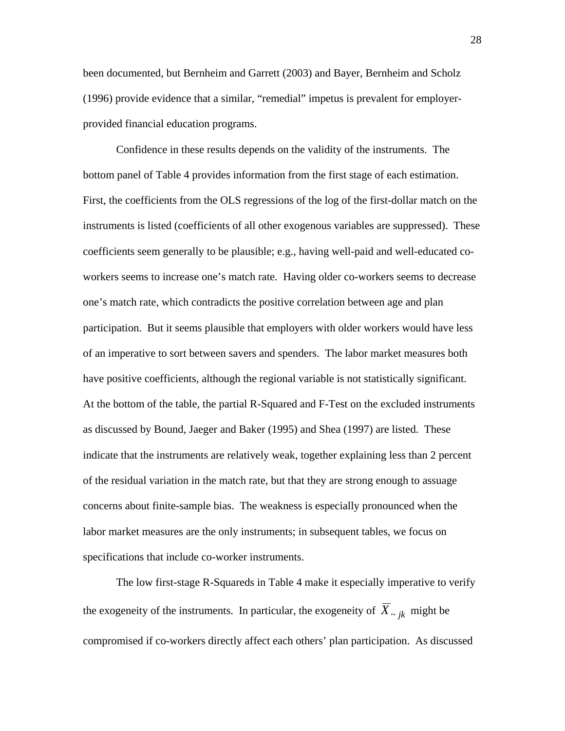been documented, but Bernheim and Garrett (2003) and Bayer, Bernheim and Scholz (1996) provide evidence that a similar, "remedial" impetus is prevalent for employerprovided financial education programs.

Confidence in these results depends on the validity of the instruments. The bottom panel of Table 4 provides information from the first stage of each estimation. First, the coefficients from the OLS regressions of the log of the first-dollar match on the instruments is listed (coefficients of all other exogenous variables are suppressed). These coefficients seem generally to be plausible; e.g., having well-paid and well-educated coworkers seems to increase one's match rate. Having older co-workers seems to decrease one's match rate, which contradicts the positive correlation between age and plan participation. But it seems plausible that employers with older workers would have less of an imperative to sort between savers and spenders. The labor market measures both have positive coefficients, although the regional variable is not statistically significant. At the bottom of the table, the partial R-Squared and F-Test on the excluded instruments as discussed by Bound, Jaeger and Baker (1995) and Shea (1997) are listed. These indicate that the instruments are relatively weak, together explaining less than 2 percent of the residual variation in the match rate, but that they are strong enough to assuage concerns about finite-sample bias. The weakness is especially pronounced when the labor market measures are the only instruments; in subsequent tables, we focus on specifications that include co-worker instruments.

The low first-stage R-Squareds in Table 4 make it especially imperative to verify the exogeneity of the instruments. In particular, the exogeneity of  $\overline{X}_{\sim jk}$  might be compromised if co-workers directly affect each others' plan participation. As discussed

28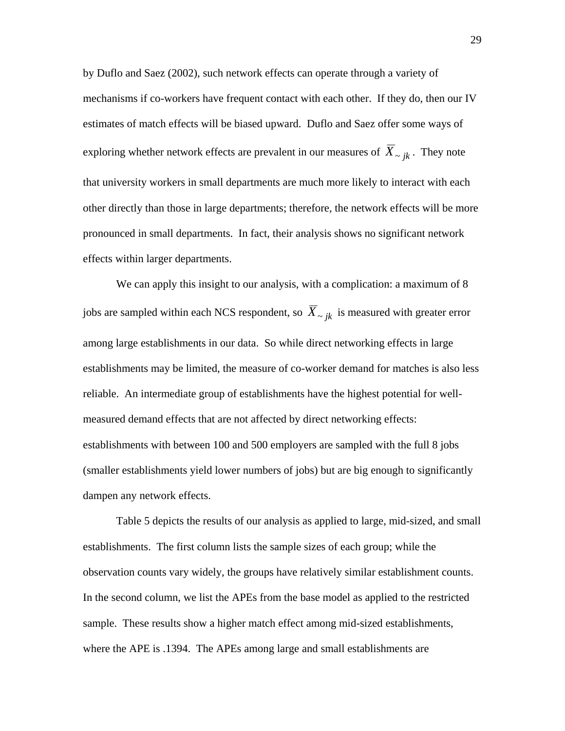by Duflo and Saez (2002), such network effects can operate through a variety of mechanisms if co-workers have frequent contact with each other. If they do, then our IV estimates of match effects will be biased upward. Duflo and Saez offer some ways of exploring whether network effects are prevalent in our measures of  $\overline{X}_{\sim ik}$ . They note that university workers in small departments are much more likely to interact with each other directly than those in large departments; therefore, the network effects will be more pronounced in small departments. In fact, their analysis shows no significant network effects within larger departments.

We can apply this insight to our analysis, with a complication: a maximum of 8 jobs are sampled within each NCS respondent, so  $\overline{X}_{\sim i k}$  is measured with greater error among large establishments in our data. So while direct networking effects in large establishments may be limited, the measure of co-worker demand for matches is also less reliable. An intermediate group of establishments have the highest potential for wellmeasured demand effects that are not affected by direct networking effects: establishments with between 100 and 500 employers are sampled with the full 8 jobs (smaller establishments yield lower numbers of jobs) but are big enough to significantly dampen any network effects.

Table 5 depicts the results of our analysis as applied to large, mid-sized, and small establishments. The first column lists the sample sizes of each group; while the observation counts vary widely, the groups have relatively similar establishment counts. In the second column, we list the APEs from the base model as applied to the restricted sample. These results show a higher match effect among mid-sized establishments, where the APE is .1394. The APEs among large and small establishments are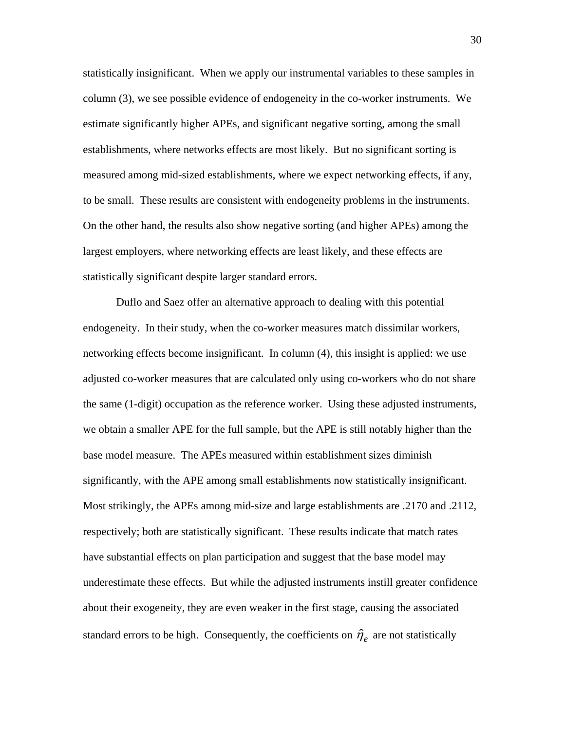statistically insignificant. When we apply our instrumental variables to these samples in column (3), we see possible evidence of endogeneity in the co-worker instruments. We estimate significantly higher APEs, and significant negative sorting, among the small establishments, where networks effects are most likely. But no significant sorting is measured among mid-sized establishments, where we expect networking effects, if any, to be small. These results are consistent with endogeneity problems in the instruments. On the other hand, the results also show negative sorting (and higher APEs) among the largest employers, where networking effects are least likely, and these effects are statistically significant despite larger standard errors.

Duflo and Saez offer an alternative approach to dealing with this potential endogeneity. In their study, when the co-worker measures match dissimilar workers, networking effects become insignificant. In column (4), this insight is applied: we use adjusted co-worker measures that are calculated only using co-workers who do not share the same (1-digit) occupation as the reference worker. Using these adjusted instruments, we obtain a smaller APE for the full sample, but the APE is still notably higher than the base model measure. The APEs measured within establishment sizes diminish significantly, with the APE among small establishments now statistically insignificant. Most strikingly, the APEs among mid-size and large establishments are .2170 and .2112, respectively; both are statistically significant. These results indicate that match rates have substantial effects on plan participation and suggest that the base model may underestimate these effects. But while the adjusted instruments instill greater confidence about their exogeneity, they are even weaker in the first stage, causing the associated standard errors to be high. Consequently, the coefficients on  $\hat{\eta}_e$  are not statistically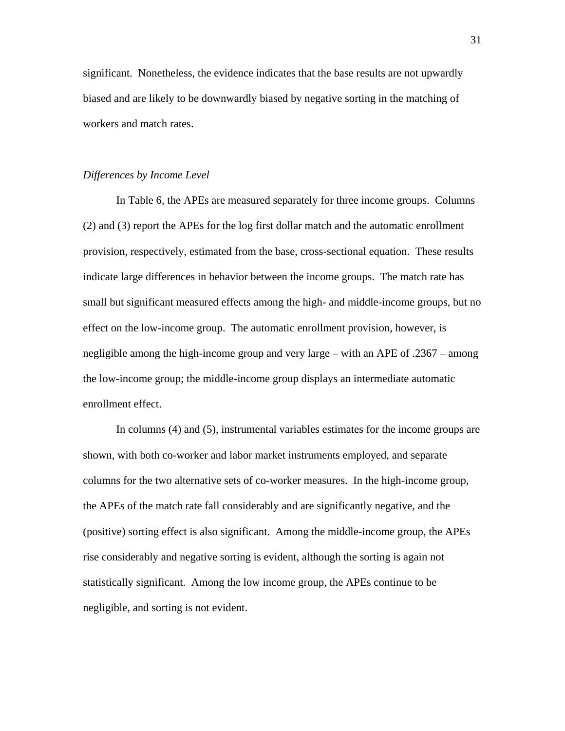significant. Nonetheless, the evidence indicates that the base results are not upwardly biased and are likely to be downwardly biased by negative sorting in the matching of workers and match rates.

# *Differences by Income Level*

In Table 6, the APEs are measured separately for three income groups. Columns (2) and (3) report the APEs for the log first dollar match and the automatic enrollment provision, respectively, estimated from the base, cross-sectional equation. These results indicate large differences in behavior between the income groups. The match rate has small but significant measured effects among the high- and middle-income groups, but no effect on the low-income group. The automatic enrollment provision, however, is negligible among the high-income group and very large – with an APE of .2367 – among the low-income group; the middle-income group displays an intermediate automatic enrollment effect.

In columns (4) and (5), instrumental variables estimates for the income groups are shown, with both co-worker and labor market instruments employed, and separate columns for the two alternative sets of co-worker measures. In the high-income group, the APEs of the match rate fall considerably and are significantly negative, and the (positive) sorting effect is also significant. Among the middle-income group, the APEs rise considerably and negative sorting is evident, although the sorting is again not statistically significant. Among the low income group, the APEs continue to be negligible, and sorting is not evident.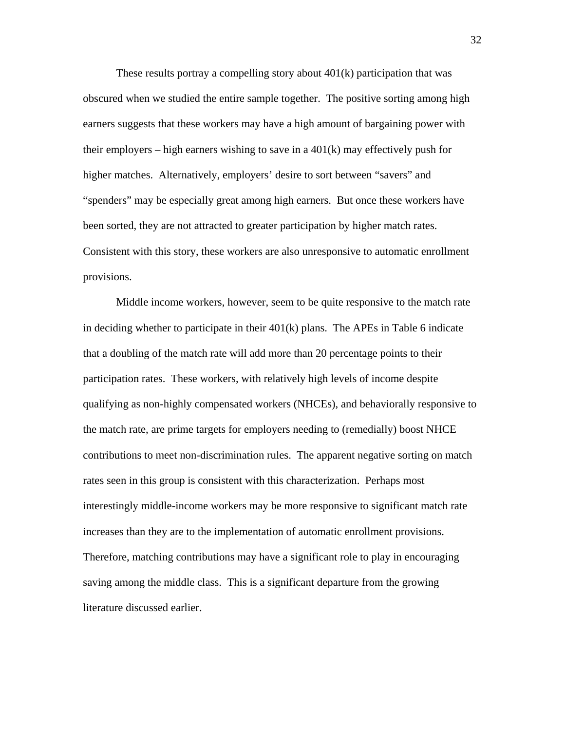These results portray a compelling story about 401(k) participation that was obscured when we studied the entire sample together. The positive sorting among high earners suggests that these workers may have a high amount of bargaining power with their employers – high earners wishing to save in a 401(k) may effectively push for higher matches. Alternatively, employers' desire to sort between "savers" and "spenders" may be especially great among high earners. But once these workers have been sorted, they are not attracted to greater participation by higher match rates. Consistent with this story, these workers are also unresponsive to automatic enrollment provisions.

Middle income workers, however, seem to be quite responsive to the match rate in deciding whether to participate in their 401(k) plans. The APEs in Table 6 indicate that a doubling of the match rate will add more than 20 percentage points to their participation rates. These workers, with relatively high levels of income despite qualifying as non-highly compensated workers (NHCEs), and behaviorally responsive to the match rate, are prime targets for employers needing to (remedially) boost NHCE contributions to meet non-discrimination rules. The apparent negative sorting on match rates seen in this group is consistent with this characterization. Perhaps most interestingly middle-income workers may be more responsive to significant match rate increases than they are to the implementation of automatic enrollment provisions. Therefore, matching contributions may have a significant role to play in encouraging saving among the middle class. This is a significant departure from the growing literature discussed earlier.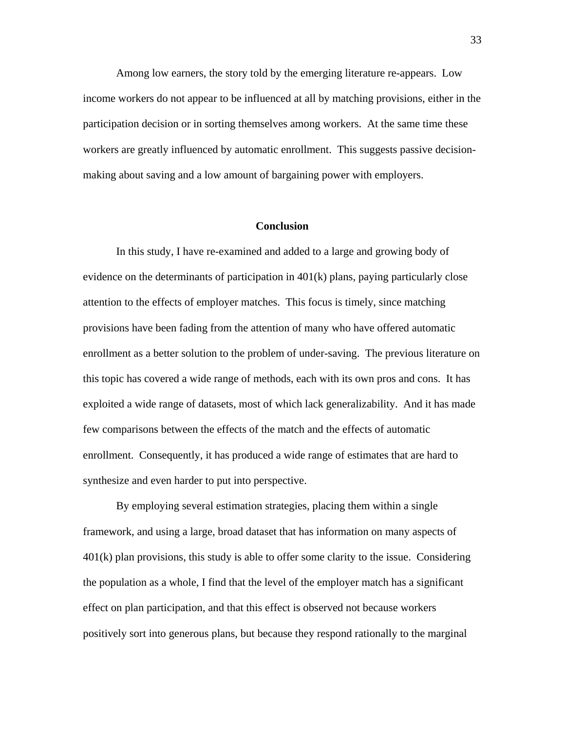Among low earners, the story told by the emerging literature re-appears. Low income workers do not appear to be influenced at all by matching provisions, either in the participation decision or in sorting themselves among workers. At the same time these workers are greatly influenced by automatic enrollment. This suggests passive decisionmaking about saving and a low amount of bargaining power with employers.

#### **Conclusion**

In this study, I have re-examined and added to a large and growing body of evidence on the determinants of participation in 401(k) plans, paying particularly close attention to the effects of employer matches. This focus is timely, since matching provisions have been fading from the attention of many who have offered automatic enrollment as a better solution to the problem of under-saving. The previous literature on this topic has covered a wide range of methods, each with its own pros and cons. It has exploited a wide range of datasets, most of which lack generalizability. And it has made few comparisons between the effects of the match and the effects of automatic enrollment. Consequently, it has produced a wide range of estimates that are hard to synthesize and even harder to put into perspective.

By employing several estimation strategies, placing them within a single framework, and using a large, broad dataset that has information on many aspects of 401(k) plan provisions, this study is able to offer some clarity to the issue. Considering the population as a whole, I find that the level of the employer match has a significant effect on plan participation, and that this effect is observed not because workers positively sort into generous plans, but because they respond rationally to the marginal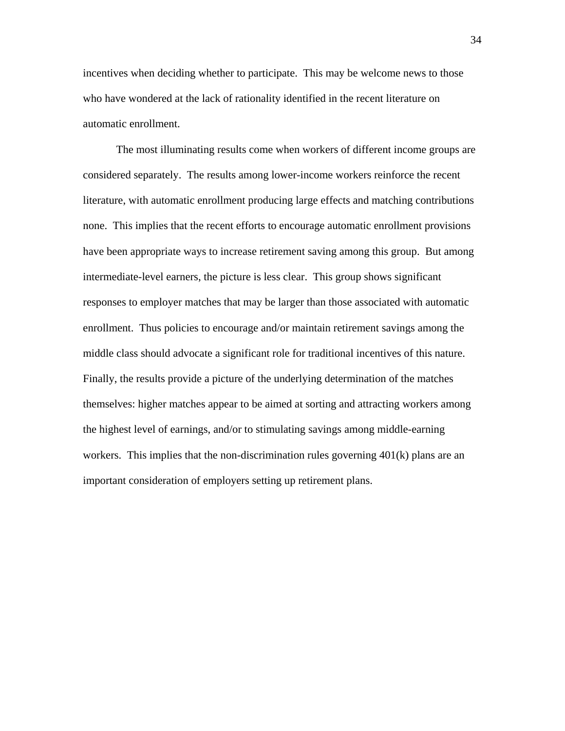incentives when deciding whether to participate. This may be welcome news to those who have wondered at the lack of rationality identified in the recent literature on automatic enrollment.

The most illuminating results come when workers of different income groups are considered separately. The results among lower-income workers reinforce the recent literature, with automatic enrollment producing large effects and matching contributions none. This implies that the recent efforts to encourage automatic enrollment provisions have been appropriate ways to increase retirement saving among this group. But among intermediate-level earners, the picture is less clear. This group shows significant responses to employer matches that may be larger than those associated with automatic enrollment. Thus policies to encourage and/or maintain retirement savings among the middle class should advocate a significant role for traditional incentives of this nature. Finally, the results provide a picture of the underlying determination of the matches themselves: higher matches appear to be aimed at sorting and attracting workers among the highest level of earnings, and/or to stimulating savings among middle-earning workers. This implies that the non-discrimination rules governing 401(k) plans are an important consideration of employers setting up retirement plans.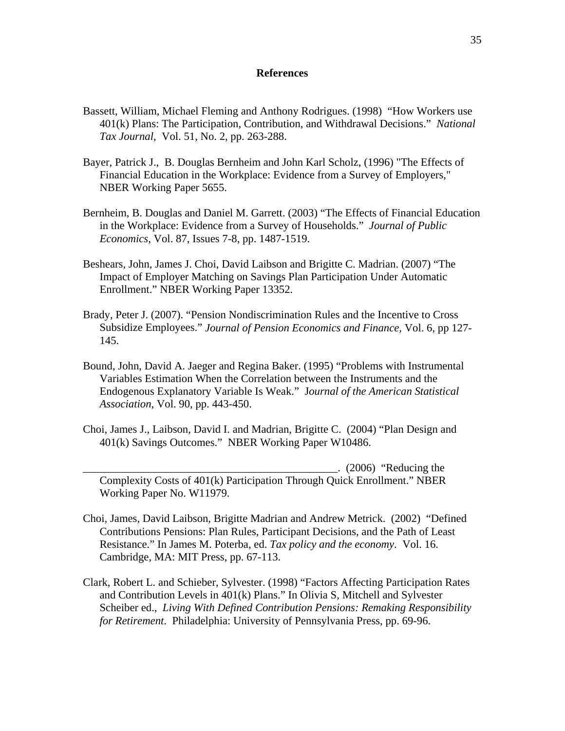#### **References**

- Bassett, William, Michael Fleming and Anthony Rodrigues. (1998) "How Workers use 401(k) Plans: The Participation, Contribution, and Withdrawal Decisions." *National Tax Journal*, Vol. 51, No. 2, pp. 263-288.
- Bayer, Patrick J., B. Douglas Bernheim and John Karl Scholz, (1996) "The Effects of Financial Education in the Workplace: Evidence from a Survey of Employers," NBER Working Paper 5655.
- Bernheim, B. Douglas and Daniel M. Garrett. (2003) "The Effects of Financial Education in the Workplace: Evidence from a Survey of Households." *Journal of Public Economics*, Vol. 87, Issues 7-8, pp. 1487-1519.
- Beshears, John, James J. Choi, David Laibson and Brigitte C. Madrian. (2007) "The Impact of Employer Matching on Savings Plan Participation Under Automatic Enrollment." NBER Working Paper 13352.
- Brady, Peter J. (2007). "Pension Nondiscrimination Rules and the Incentive to Cross Subsidize Employees." *Journal of Pension Economics and Finance,* Vol. 6, pp 127- 145.
- Bound, John, David A. Jaeger and Regina Baker. (1995) "Problems with Instrumental Variables Estimation When the Correlation between the Instruments and the Endogenous Explanatory Variable Is Weak." J*ournal of the American Statistical Association*, Vol. 90, pp. 443-450.
- Choi, James J., Laibson, David I. and Madrian, Brigitte C. (2004) "Plan Design and 401(k) Savings Outcomes." NBER Working Paper W10486.

 $(2006)$  "Reducing the Complexity Costs of 401(k) Participation Through Quick Enrollment." NBER Working Paper No. W11979.

- Choi, James, David Laibson, Brigitte Madrian and Andrew Metrick. (2002) "Defined Contributions Pensions: Plan Rules, Participant Decisions, and the Path of Least Resistance." In James M. Poterba, ed. *Tax policy and the economy*. Vol. 16. Cambridge, MA: MIT Press, pp. 67-113.
- Clark, Robert L. and Schieber, Sylvester. (1998) "Factors Affecting Participation Rates and Contribution Levels in 401(k) Plans." In Olivia S, Mitchell and Sylvester Scheiber ed., *Living With Defined Contribution Pensions: Remaking Responsibility for Retirement*. Philadelphia: University of Pennsylvania Press, pp. 69-96.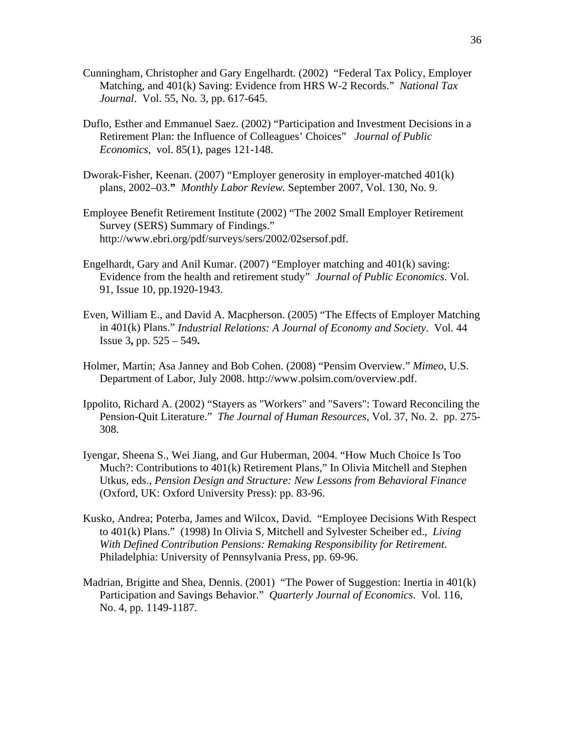- Cunningham, Christopher and Gary Engelhardt. (2002) "Federal Tax Policy, Employer Matching, and 401(k) Saving: Evidence from HRS W-2 Records." *National Tax Journal*. Vol. 55, No. 3, pp. 617-645.
- Duflo, Esther and Emmanuel Saez. (2002) "Participation and Investment Decisions in a Retirement Plan: the Influence of Colleagues' Choices" *Journal of Public Economics*, vol. 85(1), pages 121-148.
- Dworak-Fisher, Keenan. (2007) "Employer generosity in employer-matched 401(k) plans, 2002–03.**"** *Monthly Labor Review.* September 2007, Vol. 130, No. 9.
- Employee Benefit Retirement Institute (2002) "The 2002 Small Employer Retirement Survey (SERS) Summary of Findings." http://www.ebri.org/pdf/surveys/sers/2002/02sersof.pdf.
- Engelhardt, Gary and Anil Kumar. (2007) "Employer matching and 401(k) saving: Evidence from the health and retirement study" *Journal of Public Economics*. Vol. 91, Issue 10, pp.1920-1943.
- Even, William E., and David A. Macpherson. (2005) "The Effects of Employer Matching in 401(k) Plans." *Industrial Relations: A Journal of Economy and Society*. Vol. 44 Issue 3**,** pp. 525 – 549**.**
- Holmer, Martin; Asa Janney and Bob Cohen. (2008) "Pensim Overview." *Mimeo*, U.S. Department of Labor, July 2008. http://www.polsim.com/overview.pdf.
- Ippolito, Richard A. (2002) "Stayers as "Workers" and "Savers": Toward Reconciling the Pension-Quit Literature." *The Journal of Human Resources*, Vol. 37, No. 2. pp. 275- 308.
- Iyengar, Sheena S., Wei Jiang, and Gur Huberman, 2004. "How Much Choice Is Too Much?: Contributions to 401(k) Retirement Plans," In Olivia Mitchell and Stephen Utkus, eds., *Pension Design and Structure: New Lessons from Behavioral Finance*  (Oxford, UK: Oxford University Press): pp. 83-96.
- Kusko, Andrea; Poterba, James and Wilcox, David. "Employee Decisions With Respect to 401(k) Plans." (1998) In Olivia S, Mitchell and Sylvester Scheiber ed., *Living With Defined Contribution Pensions: Remaking Responsibility for Retirement*. Philadelphia: University of Pennsylvania Press, pp. 69-96.
- Madrian, Brigitte and Shea, Dennis. (2001) "The Power of Suggestion: Inertia in 401(k) Participation and Savings Behavior." *Quarterly Journal of Economics*. Vol. 116, No. 4, pp. 1149-1187.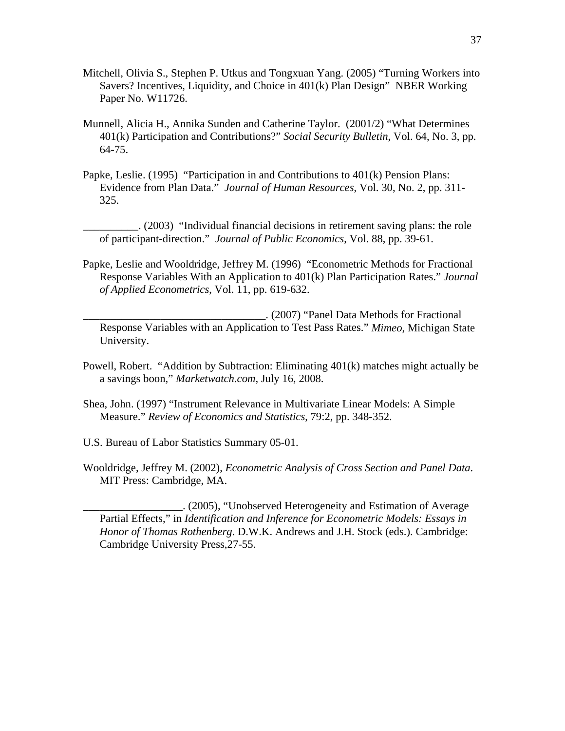- Mitchell, Olivia S., Stephen P. Utkus and Tongxuan Yang. (2005) "Turning Workers into Savers? Incentives, Liquidity, and Choice in 401(k) Plan Design" NBER Working Paper No. W11726.
- Munnell, Alicia H., Annika Sunden and Catherine Taylor. (2001/2) "What Determines 401(k) Participation and Contributions?" *Social Security Bulletin*, Vol. 64, No. 3, pp. 64-75.
- Papke, Leslie. (1995) "Participation in and Contributions to 401(k) Pension Plans: Evidence from Plan Data." *Journal of Human Resources*, Vol. 30, No. 2, pp. 311- 325.

\_\_\_\_\_\_\_\_\_\_. (2003) "Individual financial decisions in retirement saving plans: the role of participant-direction." *Journal of Public Economics*, Vol. 88, pp. 39-61.

Papke, Leslie and Wooldridge, Jeffrey M. (1996) "Econometric Methods for Fractional Response Variables With an Application to 401(k) Plan Participation Rates." *Journal of Applied Econometrics*, Vol. 11, pp. 619-632.

\_\_\_\_\_\_\_\_\_\_\_\_\_\_\_\_\_\_\_\_\_\_\_\_\_\_\_\_\_\_\_\_\_. (2007) "Panel Data Methods for Fractional Response Variables with an Application to Test Pass Rates." *Mimeo*, Michigan State University.

- Powell, Robert. "Addition by Subtraction: Eliminating 401(k) matches might actually be a savings boon," *Marketwatch.com*, July 16, 2008.
- Shea, John. (1997) "Instrument Relevance in Multivariate Linear Models: A Simple Measure." *Review of Economics and Statistics*, 79:2, pp. 348-352.
- U.S. Bureau of Labor Statistics Summary 05-01.
- Wooldridge, Jeffrey M. (2002), *Econometric Analysis of Cross Section and Panel Data*. MIT Press: Cambridge, MA.

\_\_\_\_\_\_\_\_\_\_\_\_\_\_\_\_\_\_. (2005), "Unobserved Heterogeneity and Estimation of Average Partial Effects," in *Identification and Inference for Econometric Models: Essays in Honor of Thomas Rothenberg*. D.W.K. Andrews and J.H. Stock (eds.). Cambridge: Cambridge University Press,27-55.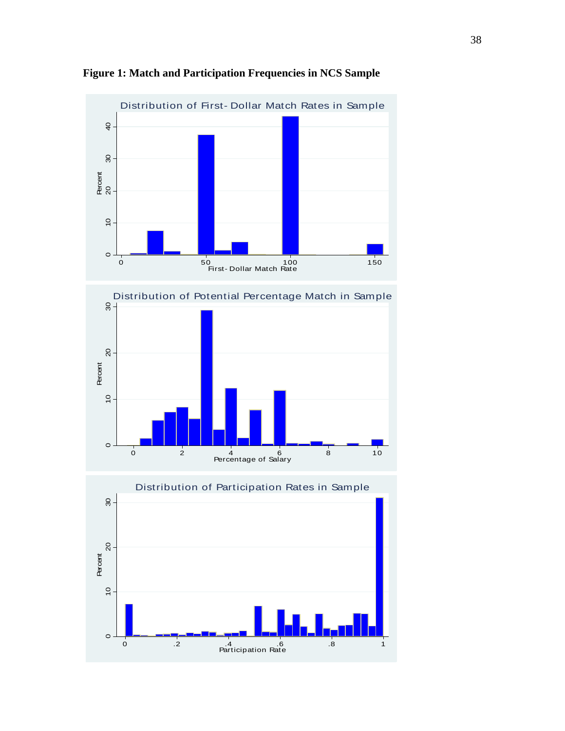







38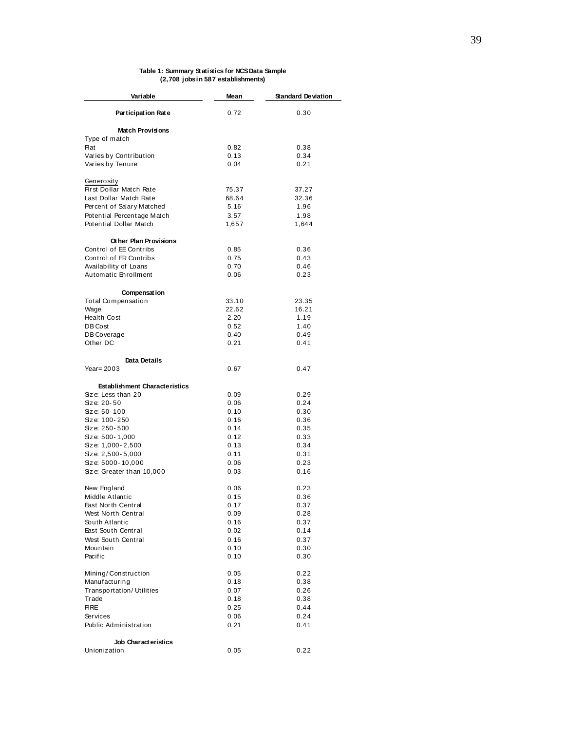#### **Table 1: Summary Statistics for NCS Data Sample (2,708 jobs in 587 establishments)**

| Variable                                             | Mean          | <b>Standard Deviation</b> |  |  |
|------------------------------------------------------|---------------|---------------------------|--|--|
| Participation Rate                                   | 0.72          | 0.30                      |  |  |
| <b>Match Provisions</b>                              |               |                           |  |  |
| Type of match                                        |               |                           |  |  |
| <b>Flat</b>                                          | 0.82          | 0.38                      |  |  |
| Varies by Contribution                               | 0.13          | 0.34                      |  |  |
| Varies by Tenure                                     | 0.04          | 0.21                      |  |  |
| Generosity                                           |               |                           |  |  |
| First Dollar Match Rate                              | 75.37         | 37.27                     |  |  |
| Last Dollar Match Rate                               | 68.64         | 32.36                     |  |  |
| Percent of Salary Matched                            | 5.16          | 1.96                      |  |  |
| Potential Percentage Match<br>Potential Dollar Match | 3.57<br>1,657 | 1.98<br>1,644             |  |  |
| Other Plan Provisions                                |               |                           |  |  |
| Control of EE Contribs                               | 0.85          | 0.36                      |  |  |
| Control of ER Contribs                               | 0.75          | 0.43                      |  |  |
| Availability of Loans                                | 0.70          | 0.46                      |  |  |
| Automatic Enrollment                                 | 0.06          | 0.23                      |  |  |
| Compensat ion                                        |               |                           |  |  |
| <b>Total Compensation</b>                            | 33.10         | 23.35                     |  |  |
| Wage                                                 | 22.62         | 16.21                     |  |  |
| <b>Health Cost</b>                                   | 2.20          | 1.19                      |  |  |
| DB Cost                                              | 0.52          | 1.40                      |  |  |
| DB Coverage                                          | 0.40          | 0.49                      |  |  |
| Other DC                                             | 0.21          | 0.41                      |  |  |
| <b>Data Details</b>                                  |               |                           |  |  |
| Year = $2003$                                        | 0.67          | 0.47                      |  |  |
| <b>Establishment Characteristics</b>                 |               |                           |  |  |
| Size: Less than 20                                   | 0.09          | 0.29                      |  |  |
| Size: 20-50                                          | 0.06          | 0.24                      |  |  |
| Size: 50-100                                         | 0.10          | 0.30                      |  |  |
| Size: 100-250                                        | 0.16          | 0.36                      |  |  |
| Size: 250-500                                        | 0.14          | 0.35                      |  |  |
| Size: 500-1,000                                      | 0.12          | 0.33                      |  |  |
| Size: 1,000-2,500                                    | 0.13          | 0.34                      |  |  |
| Size: 2,500-5,000                                    | 0.11          | 0.31                      |  |  |
| Size: 5000-10,000                                    | 0.06          | 0.23                      |  |  |
| Size: Greater than 10,000                            | 0.03          | 0.16                      |  |  |
| New England                                          | 0.06          | 0.23                      |  |  |
| Middle Atlantic                                      | 0.15          | 0.36                      |  |  |
| East North Central                                   | 0.17          | 0.37                      |  |  |
| West North Central                                   | 0.09          | 0.28                      |  |  |
| South Atlantic                                       | 0.16          | 0.37                      |  |  |
| East South Central                                   | 0.02          | 0.14                      |  |  |
| West South Central                                   | 0.16          | 0.37                      |  |  |
| Mountain                                             | 0.10          | 0.30                      |  |  |
| Pacific                                              | 0.10          | 0.30                      |  |  |
| Mining/Construction                                  | 0.05          | 0.22                      |  |  |
| Manufacturing                                        | 0.18          | 0.38                      |  |  |
| Transportation/Utilities                             | 0.07          | 0.26                      |  |  |
| Trade                                                | 0.18          | 0.38                      |  |  |
| <b>FIRE</b>                                          | 0.25          | 0.44                      |  |  |
| Services                                             | 0.06          | 0.24                      |  |  |
| Public Administration                                | 0.21          | 0.41                      |  |  |
| Job Characteristics                                  |               |                           |  |  |
| Unionization                                         | 0.05          | 0.22                      |  |  |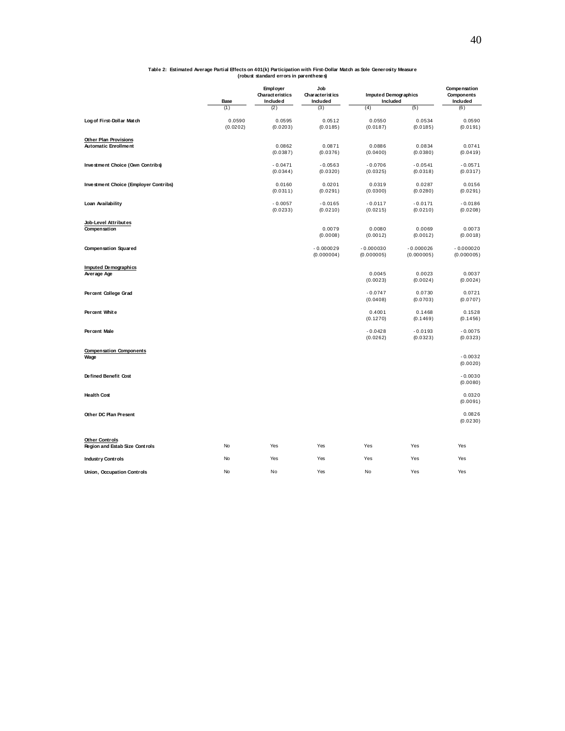# **Table 2: Estimated Average Partial Effects on 401(k) Participation with First-Dollar Match as Sole Generosity Measure (robust standard errors in parentheses)**

|                                                         | Base               | Empl oyer<br><b>Characteristics</b><br>Included | Job<br>Characteristics<br>Included | Imputed Demographics<br>Included |                           | Compensation<br>Components<br>Included |
|---------------------------------------------------------|--------------------|-------------------------------------------------|------------------------------------|----------------------------------|---------------------------|----------------------------------------|
|                                                         | (1)                | (2)                                             | (3)                                | (4)                              | (5)                       | (6)                                    |
| Log of First-Dollar Match                               | 0.0590<br>(0.0202) | 0.0595<br>(0.0203)                              | 0.0512<br>(0.0185)                 | 0.0550<br>(0.0187)               | 0.0534<br>(0.0185)        | 0.0590<br>(0.0191)                     |
| Other Plan Provisions<br><b>Automatic Enrollment</b>    |                    | 0.0862<br>(0.0387)                              | 0.0871<br>(0.0376)                 | 0.0886<br>(0.0400)               | 0.0834<br>(0.0380)        | 0.0741<br>(0.0419)                     |
| Investment Choice (Own Contribs)                        |                    | $-0.0471$<br>(0.0344)                           | $-0.0563$<br>(0.0320)              | $-0.0706$<br>(0.0325)            | $-0.0541$<br>(0.0318)     | $-0.0571$<br>(0.0317)                  |
| Investment Choice (Employer Contribs)                   |                    | 0.0160<br>(0.0311)                              | 0.0201<br>(0.0291)                 | 0.0319<br>(0.0300)               | 0.0287<br>(0.0280)        | 0.0156<br>(0.0291)                     |
| Loan Availability                                       |                    | $-0.0057$<br>(0.0233)                           | $-0.0165$<br>(0.0210)              | $-0.0117$<br>(0.0215)            | $-0.0171$<br>(0.0210)     | $-0.0186$<br>(0.0208)                  |
| Job-Level Attributes<br>Compensation                    |                    |                                                 | 0.0079<br>(0.0008)                 | 0.0080<br>(0.0012)               | 0.0069<br>(0.0012)        | 0.0073<br>(0.0018)                     |
| <b>Compensation Squared</b>                             |                    |                                                 | $-0.000029$<br>(0.000004)          | $-0.000030$<br>(0.000005)        | $-0.000026$<br>(0.000005) | $-0.000020$<br>(0.000005)              |
| Imputed Demographics<br>Average Age                     |                    |                                                 |                                    | 0.0045<br>(0.0023)               | 0.0023<br>(0.0024)        | 0.0037<br>(0.0024)                     |
| Percent College Grad                                    |                    |                                                 |                                    | $-0.0747$<br>(0.0408)            | 0.0730<br>(0.0703)        | 0.0721<br>(0.0707)                     |
| Percent White                                           |                    |                                                 |                                    | 0.4001<br>(0.1270)               | 0.1468<br>(0.1469)        | 0.1528<br>(0.1456)                     |
| Percent Male                                            |                    |                                                 |                                    | $-0.0428$<br>(0.0262)            | $-0.0193$<br>(0.0323)     | $-0.0075$<br>(0.0323)                  |
| <b>Compensation Components</b><br>Wage                  |                    |                                                 |                                    |                                  |                           | $-0.0032$<br>(0.0020)                  |
| Defined Benefit Cost                                    |                    |                                                 |                                    |                                  |                           | $-0.0030$<br>(0.0080)                  |
| <b>Health Cost</b>                                      |                    |                                                 |                                    |                                  |                           | 0.0320<br>(0.0091)                     |
| Other DC Plan Present                                   |                    |                                                 |                                    |                                  |                           | 0.0826<br>(0.0230)                     |
| <b>Other Controls</b><br>Region and Estab Size Controls | No                 | Yes                                             | Yes                                | Yes                              | Yes                       | Yes                                    |
| <b>Industry Controls</b>                                | No                 | Yes                                             | Yes                                | Yes                              | Yes                       | Yes                                    |
| Union, Occupation Controls                              | No                 | No                                              | Yes                                | No                               | Yes                       | Yes                                    |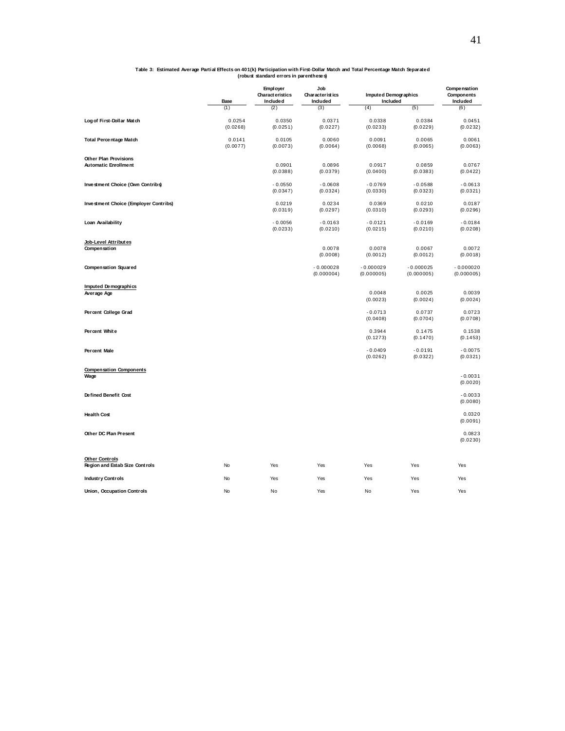|                                                         | Base               | Empl oyer<br><b>Charact eristics</b><br>Included | Job<br>Characteristics<br>Included | Imputed Demographics<br>Included |                           | Compensation<br>Components<br>Included |
|---------------------------------------------------------|--------------------|--------------------------------------------------|------------------------------------|----------------------------------|---------------------------|----------------------------------------|
|                                                         | (1)                | (2)                                              | (3)                                | (4)                              | (5)                       | (6)                                    |
| Log of First-Dollar Match                               | 0.0254<br>(0.0268) | 0.0350<br>(0.0251)                               | 0.0371<br>(0.0227)                 | 0.0338<br>(0.0233)               | 0.0384<br>(0.0229)        | 0.0451<br>(0.0232)                     |
| <b>Total Percentage Match</b>                           | 0.0141<br>(0.0077) | 0.0105<br>(0.0073)                               | 0.0060<br>(0.0064)                 | 0.0091<br>(0.0068)               | 0.0065<br>(0.0065)        | 0.0061<br>(0.0063)                     |
| Other Plan Provisions<br><b>Automatic Enrollment</b>    |                    | 0.0901<br>(0.0388)                               | 0.0896<br>(0.0379)                 | 0.0917<br>(0.0400)               | 0.0859<br>(0.0383)        | 0.0767<br>(0.0422)                     |
| Investment Choice (Own Contribs)                        |                    | $-0.0550$<br>(0.0347)                            | $-0.0608$<br>(0.0324)              | $-0.0769$<br>(0.0330)            | $-0.0588$<br>(0.0323)     | $-0.0613$<br>(0.0321)                  |
| Investment Choice (Employer Contribs)                   |                    | 0.0219<br>(0.0319)                               | 0.0234<br>(0.0297)                 | 0.0369<br>(0.0310)               | 0.0210<br>(0.0293)        | 0.0187<br>(0.0296)                     |
| Loan Availability                                       |                    | $-0.0056$<br>(0.0233)                            | $-0.0163$<br>(0.0210)              | $-0.0121$<br>(0.0215)            | $-0.0169$<br>(0.0210)     | $-0.0184$<br>(0.0208)                  |
| Job-Level Attributes<br>Compensation                    |                    |                                                  | 0.0078<br>(0.0008)                 | 0.0078<br>(0.0012)               | 0.0067<br>(0.0012)        | 0.0072<br>(0.0018)                     |
| <b>Compensation Squared</b>                             |                    |                                                  | $-0.000028$<br>(0.000004)          | $-0.000029$<br>(0.000005)        | $-0.000025$<br>(0.000005) | $-0.000020$<br>(0.000005)              |
| Imputed Demographics<br>Average Age                     |                    |                                                  |                                    | 0.0048<br>(0.0023)               | 0.0025<br>(0.0024)        | 0.0039<br>(0.0024)                     |
| Percent College Grad                                    |                    |                                                  |                                    | $-0.0713$<br>(0.0408)            | 0.0737<br>(0.0704)        | 0.0723<br>(0.0708)                     |
| Percent White                                           |                    |                                                  |                                    | 0.3944<br>(0.1273)               | 0.1475<br>(0.1470)        | 0.1538<br>(0.1453)                     |
| Percent Male                                            |                    |                                                  |                                    | $-0.0409$<br>(0.0262)            | $-0.0191$<br>(0.0322)     | $-0.0075$<br>(0.0321)                  |
| <b>Compensation Components</b><br>Wage                  |                    |                                                  |                                    |                                  |                           | $-0.0031$<br>(0.0020)                  |
| Defined Benefit Cost                                    |                    |                                                  |                                    |                                  |                           | $-0.0033$<br>(0.0080)                  |
| <b>Health Cost</b>                                      |                    |                                                  |                                    |                                  |                           | 0.0320<br>(0.0091)                     |
| Other DC Plan Present                                   |                    |                                                  |                                    |                                  |                           | 0.0823<br>(0.0230)                     |
| <b>Other Controls</b><br>Region and Estab Size Controls | No                 | Yes                                              | Yes                                | Yes                              | Yes                       | Yes                                    |
| <b>Industry Controls</b>                                | No                 | Yes                                              | Yes                                | Yes                              | Yes                       | Yes                                    |
| Union, Occupation Controls                              | No                 | No                                               | Yes                                | No                               | Yes                       | Yes                                    |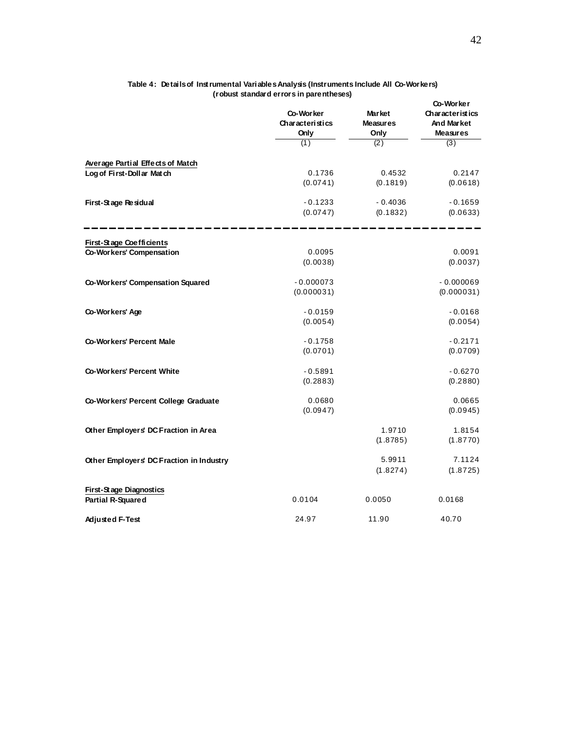|                                                                      | Co-Worker<br>Characteristics<br>Only<br>(1) | <b>Market</b><br><b>Measures</b><br>Only<br>(2) | Co-Worker<br><b>Characteristics</b><br>And Market<br><b>Measures</b><br>(3) |
|----------------------------------------------------------------------|---------------------------------------------|-------------------------------------------------|-----------------------------------------------------------------------------|
|                                                                      |                                             |                                                 |                                                                             |
| <b>Average Partial Effects of Match</b><br>Log of First-Dollar Match | 0.1736                                      | 0.4532                                          | 0.2147                                                                      |
|                                                                      | (0.0741)                                    | (0.1819)                                        | (0.0618)                                                                    |
| First-Stage Residual                                                 | $-0.1233$                                   | $-0.4036$                                       | $-0.1659$                                                                   |
|                                                                      | (0.0747)                                    | (0.1832)                                        | (0.0633)                                                                    |
| First-Stage Coefficients                                             |                                             |                                                 |                                                                             |
| Co-Workers' Compensation                                             | 0.0095                                      |                                                 | 0.0091                                                                      |
|                                                                      | (0.0038)                                    |                                                 | (0.0037)                                                                    |
| Co-Workers' Compensation Squared                                     | $-0.000073$                                 |                                                 | $-0.000069$                                                                 |
|                                                                      | (0.000031)                                  |                                                 | (0.000031)                                                                  |
| Co-Workers' Age                                                      | $-0.0159$                                   |                                                 | $-0.0168$                                                                   |
|                                                                      | (0.0054)                                    |                                                 | (0.0054)                                                                    |
| Co-Workers' Percent Male                                             | $-0.1758$                                   |                                                 | $-0.2171$                                                                   |
|                                                                      | (0.0701)                                    |                                                 | (0.0709)                                                                    |
| Co-Workers' Percent White                                            | $-0.5891$                                   |                                                 | $-0.6270$                                                                   |
|                                                                      | (0.2883)                                    |                                                 | (0.2880)                                                                    |
| Co-Workers' Percent College Graduate                                 | 0.0680                                      |                                                 | 0.0665                                                                      |
|                                                                      | (0.0947)                                    |                                                 | (0.0945)                                                                    |
| Other Employers' DC Fraction in Area                                 |                                             | 1.9710                                          | 1.8154                                                                      |
|                                                                      |                                             | (1.8785)                                        | (1.8770)                                                                    |
| Other Employers' DC Fraction in Industry                             |                                             | 5.9911                                          | 7.1124                                                                      |
|                                                                      |                                             | (1.8274)                                        | (1.8725)                                                                    |
| First-Stage Diagnostics                                              |                                             |                                                 |                                                                             |
| Partial R-Squared                                                    | 0.0104                                      | 0.0050                                          | 0.0168                                                                      |
| Adjusted F-Test                                                      | 24.97                                       | 11.90                                           | 40.70                                                                       |

#### **Table 4: Details of Instrumental Variables Analysis (Instruments Include All Co-Workers) (robust standard errors in parentheses)**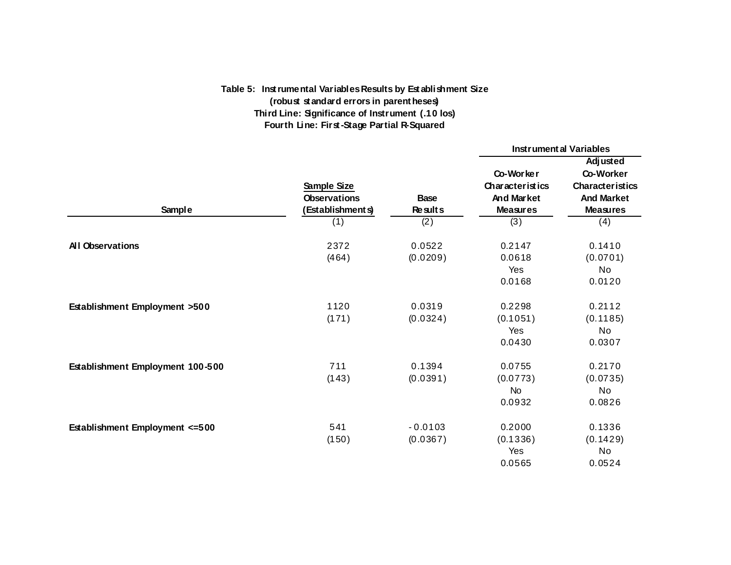# **Table 5: Inst rumental Variables Results by Est ablishment Size (robust standard errors in parentheses) Third Line: Significance of Instrument (.10 los) Fourth Line: First -Stage Partial R-Squared**

|                                  |                                                               |                               | <b>Instrumental Variables</b>                                        |                                                                                                |  |
|----------------------------------|---------------------------------------------------------------|-------------------------------|----------------------------------------------------------------------|------------------------------------------------------------------------------------------------|--|
| Sample                           | Sample Size<br><b>Observations</b><br>(Establishments)<br>(1) | <b>Base</b><br>Results<br>(2) | Co-Worker<br>Characteristics<br>And Market<br><b>Measures</b><br>(3) | Adjusted<br>Co-Worker<br><b>Characteristics</b><br><b>And Market</b><br><b>Measures</b><br>(4) |  |
| <b>All Observations</b>          | 2372<br>(464)                                                 | 0.0522<br>(0.0209)            | 0.2147<br>0.0618<br>Yes<br>0.0168                                    | 0.1410<br>(0.0701)<br>No<br>0.0120                                                             |  |
| Establishment Employment >500    | 1120<br>(171)                                                 | 0.0319<br>(0.0324)            | 0.2298<br>(0.1051)<br>Yes<br>0.0430                                  | 0.2112<br>(0.1185)<br>No<br>0.0307                                                             |  |
| Establishment Employment 100-500 | 711<br>(143)                                                  | 0.1394<br>(0.0391)            | 0.0755<br>(0.0773)<br><b>No</b><br>0.0932                            | 0.2170<br>(0.0735)<br>No<br>0.0826                                                             |  |
| Establishment Employment <= 500  | 541<br>(150)                                                  | $-0.0103$<br>(0.0367)         | 0.2000<br>(0.1336)<br>Yes<br>0.0565                                  | 0.1336<br>(0.1429)<br>No<br>0.0524                                                             |  |